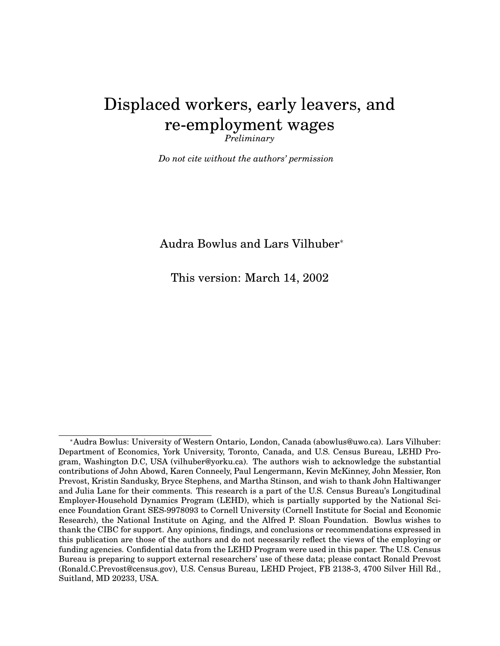### Displaced workers, early leavers, and re-employment wages *Preliminary*

*Do not cite without the authors' permission*

#### Audra Bowlus and Lars Vilhuber<sup>∗</sup>

This version: March 14, 2002

<sup>∗</sup>Audra Bowlus: University of Western Ontario, London, Canada (abowlus@uwo.ca). Lars Vilhuber: Department of Economics, York University, Toronto, Canada, and U.S. Census Bureau, LEHD Program, Washington D.C, USA (vilhuber@yorku.ca). The authors wish to acknowledge the substantial contributions of John Abowd, Karen Conneely, Paul Lengermann, Kevin McKinney, John Messier, Ron Prevost, Kristin Sandusky, Bryce Stephens, and Martha Stinson, and wish to thank John Haltiwanger and Julia Lane for their comments. This research is a part of the U.S. Census Bureau's Longitudinal Employer-Household Dynamics Program (LEHD), which is partially supported by the National Science Foundation Grant SES-9978093 to Cornell University (Cornell Institute for Social and Economic Research), the National Institute on Aging, and the Alfred P. Sloan Foundation. Bowlus wishes to thank the CIBC for support. Any opinions, findings, and conclusions or recommendations expressed in this publication are those of the authors and do not necessarily reflect the views of the employing or funding agencies. Confidential data from the LEHD Program were used in this paper. The U.S. Census Bureau is preparing to support external researchers' use of these data; please contact Ronald Prevost (Ronald.C.Prevost@census.gov), U.S. Census Bureau, LEHD Project, FB 2138-3, 4700 Silver Hill Rd., Suitland, MD 20233, USA.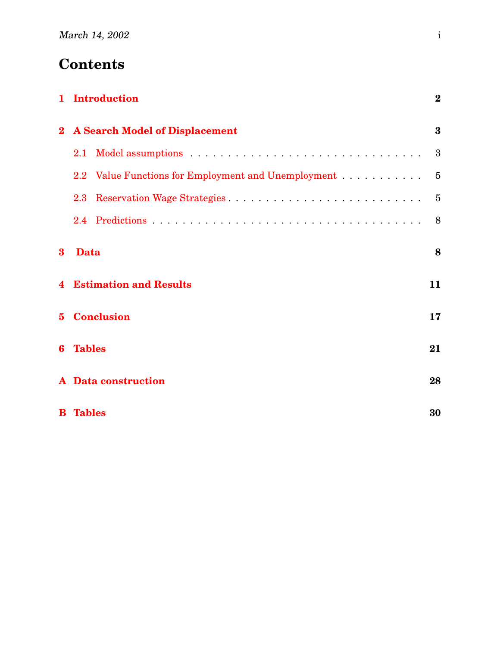# **Contents**

|                         | 1 Introduction                                      | $\bf{2}$        |
|-------------------------|-----------------------------------------------------|-----------------|
| $\overline{\mathbf{2}}$ | <b>A Search Model of Displacement</b>               | $\bf{3}$        |
|                         |                                                     | 3               |
|                         | 2.2 Value Functions for Employment and Unemployment | $5\overline{)}$ |
|                         | Reservation Wage Strategies<br>2.3                  | - 5             |
|                         |                                                     | 8               |
| $\bf{3}$                | <b>Data</b>                                         | 8               |
|                         | <b>4 Estimation and Results</b>                     | 11              |
| 5                       | <b>Conclusion</b>                                   | 17              |
| 6                       | <b>Tables</b>                                       | 21              |
|                         | <b>A</b> Data construction                          | 28              |
|                         | <b>B</b> Tables                                     | 30              |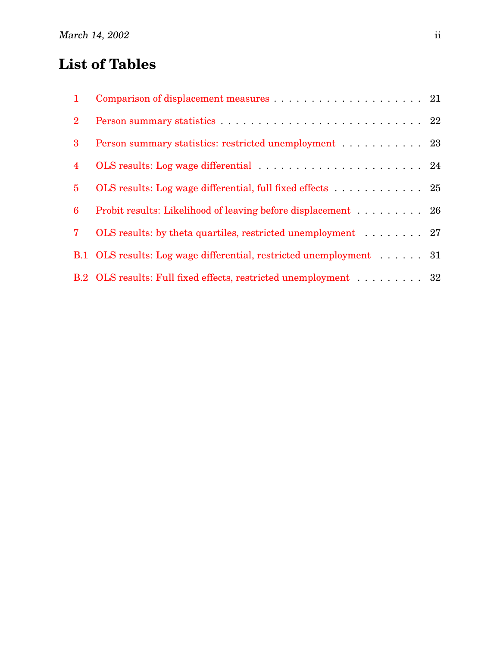# **List of Tables**

| $\mathbf{1}$   |                                                                    |  |
|----------------|--------------------------------------------------------------------|--|
| 2 <sup>1</sup> |                                                                    |  |
| 3 <sup>°</sup> | Person summary statistics: restricted unemployment 23              |  |
| $\overline{4}$ |                                                                    |  |
| $5^{\circ}$    | OLS results: Log wage differential, full fixed effects 25          |  |
| $6^{\circ}$    | Probit results: Likelihood of leaving before displacement 26       |  |
| $7^{\circ}$    | OLS results: by theta quartiles, restricted unemployment 27        |  |
|                | B.1 OLS results: Log wage differential, restricted unemployment 31 |  |
|                | B.2 OLS results: Full fixed effects, restricted unemployment 32    |  |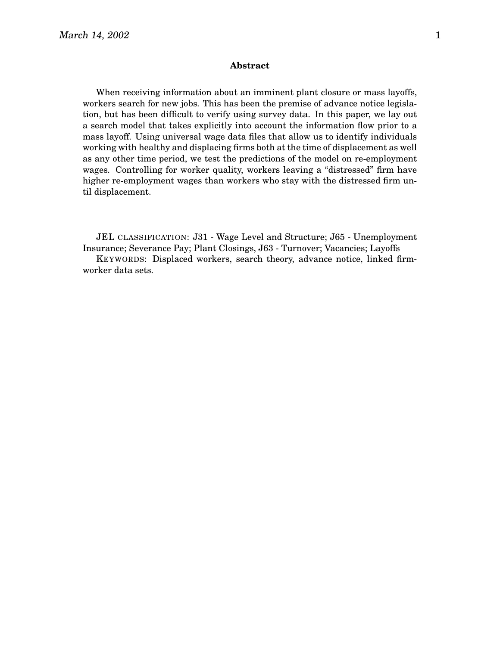#### **Abstract**

When receiving information about an imminent plant closure or mass layoffs, workers search for new jobs. This has been the premise of advance notice legislation, but has been difficult to verify using survey data. In this paper, we lay out a search model that takes explicitly into account the information flow prior to a mass layoff. Using universal wage data files that allow us to identify individuals working with healthy and displacing firms both at the time of displacement as well as any other time period, we test the predictions of the model on re-employment wages. Controlling for worker quality, workers leaving a "distressed" firm have higher re-employment wages than workers who stay with the distressed firm until displacement.

JEL CLASSIFICATION: J31 - Wage Level and Structure; J65 - Unemployment Insurance; Severance Pay; Plant Closings, J63 - Turnover; Vacancies; Layoffs

KEYWORDS: Displaced workers, search theory, advance notice, linked firmworker data sets.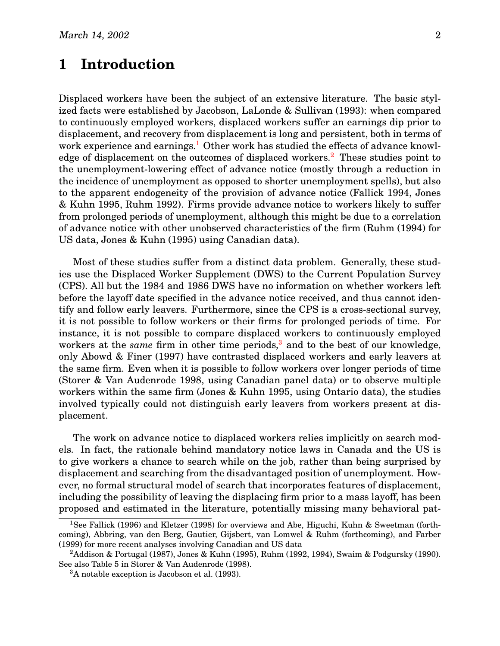### <span id="page-4-0"></span>**1 Introduction**

Displaced workers have been the subject of an extensive literature. The basic stylized facts were established by Jacobson, LaLonde & Sullivan (1993): when compared to continuously employed workers, displaced workers suffer an earnings dip prior to displacement, and recovery from displacement is long and persistent, both in terms of work experience and earnings.<sup>[1](#page-4-1)</sup> Other work has studied the effects of advance knowl-edge of displacement on the outcomes of displaced workers.<sup>[2](#page-4-2)</sup> These studies point to the unemployment-lowering effect of advance notice (mostly through a reduction in the incidence of unemployment as opposed to shorter unemployment spells), but also to the apparent endogeneity of the provision of advance notice (Fallick 1994, Jones & Kuhn 1995, Ruhm 1992). Firms provide advance notice to workers likely to suffer from prolonged periods of unemployment, although this might be due to a correlation of advance notice with other unobserved characteristics of the firm (Ruhm (1994) for US data, Jones & Kuhn (1995) using Canadian data).

Most of these studies suffer from a distinct data problem. Generally, these studies use the Displaced Worker Supplement (DWS) to the Current Population Survey (CPS). All but the 1984 and 1986 DWS have no information on whether workers left before the layoff date specified in the advance notice received, and thus cannot identify and follow early leavers. Furthermore, since the CPS is a cross-sectional survey, it is not possible to follow workers or their firms for prolonged periods of time. For instance, it is not possible to compare displaced workers to continuously employed workers at the *same* firm in other time periods,<sup>[3](#page-4-3)</sup> and to the best of our knowledge, only Abowd & Finer (1997) have contrasted displaced workers and early leavers at the same firm. Even when it is possible to follow workers over longer periods of time (Storer & Van Audenrode 1998, using Canadian panel data) or to observe multiple workers within the same firm (Jones & Kuhn 1995, using Ontario data), the studies involved typically could not distinguish early leavers from workers present at displacement.

The work on advance notice to displaced workers relies implicitly on search models. In fact, the rationale behind mandatory notice laws in Canada and the US is to give workers a chance to search while on the job, rather than being surprised by displacement and searching from the disadvantaged position of unemployment. However, no formal structural model of search that incorporates features of displacement, including the possibility of leaving the displacing firm prior to a mass layoff, has been proposed and estimated in the literature, potentially missing many behavioral pat-

<span id="page-4-1"></span><sup>1</sup>See Fallick (1996) and Kletzer (1998) for overviews and Abe, Higuchi, Kuhn & Sweetman (forthcoming), Abbring, van den Berg, Gautier, Gijsbert, van Lomwel & Ruhm (forthcoming), and Farber (1999) for more recent analyses involving Canadian and US data

<sup>&</sup>lt;sup>2</sup>Addison & Portugal (1987), Jones & Kuhn (1995), Ruhm (1992, 1994), Swaim & Podgursky (1990). See also Table 5 in Storer & Van Audenrode (1998).

<span id="page-4-3"></span><span id="page-4-2"></span><sup>&</sup>lt;sup>3</sup>A notable exception is Jacobson et al. (1993).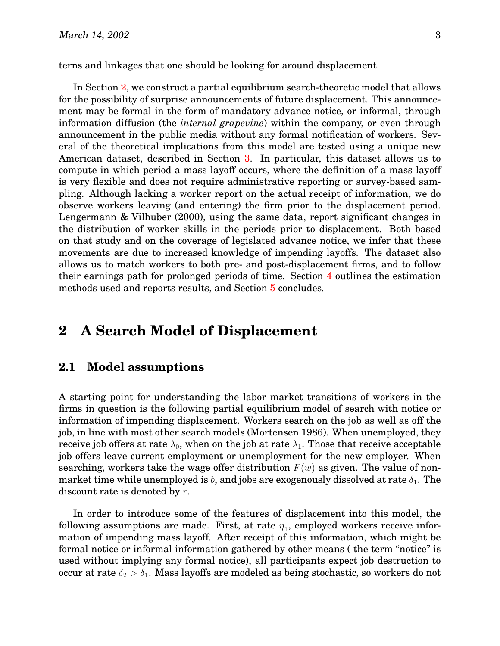terns and linkages that one should be looking for around displacement.

In Section [2,](#page-5-0) we construct a partial equilibrium search-theoretic model that allows for the possibility of surprise announcements of future displacement. This announcement may be formal in the form of mandatory advance notice, or informal, through information diffusion (the *internal grapevine*) within the company, or even through announcement in the public media without any formal notification of workers. Several of the theoretical implications from this model are tested using a unique new American dataset, described in Section [3](#page-10-1). In particular, this dataset allows us to compute in which period a mass layoff occurs, where the definition of a mass layoff is very flexible and does not require administrative reporting or survey-based sampling. Although lacking a worker report on the actual receipt of information, we do observe workers leaving (and entering) the firm prior to the displacement period. Lengermann & Vilhuber (2000), using the same data, report significant changes in the distribution of worker skills in the periods prior to displacement. Both based on that study and on the coverage of legislated advance notice, we infer that these movements are due to increased knowledge of impending layoffs. The dataset also allows us to match workers to both pre- and post-displacement firms, and to follow their earnings path for prolonged periods of time. Section [4](#page-13-0) outlines the estimation methods used and reports results, and Section [5](#page-19-0) concludes.

### <span id="page-5-0"></span>**2 A Search Model of Displacement**

#### <span id="page-5-1"></span>**2.1 Model assumptions**

A starting point for understanding the labor market transitions of workers in the firms in question is the following partial equilibrium model of search with notice or information of impending displacement. Workers search on the job as well as off the job, in line with most other search models (Mortensen 1986). When unemployed, they receive job offers at rate  $\lambda_0$ , when on the job at rate  $\lambda_1$ . Those that receive acceptable job offers leave current employment or unemployment for the new employer. When searching, workers take the wage offer distribution  $F(w)$  as given. The value of nonmarket time while unemployed is  $b$ , and jobs are exogenously dissolved at rate  $\delta_1$ . The discount rate is denoted by r.

In order to introduce some of the features of displacement into this model, the following assumptions are made. First, at rate  $\eta_1$ , employed workers receive information of impending mass layoff. After receipt of this information, which might be formal notice or informal information gathered by other means ( the term "notice" is used without implying any formal notice), all participants expect job destruction to occur at rate  $\delta_2 > \delta_1$ . Mass layoffs are modeled as being stochastic, so workers do not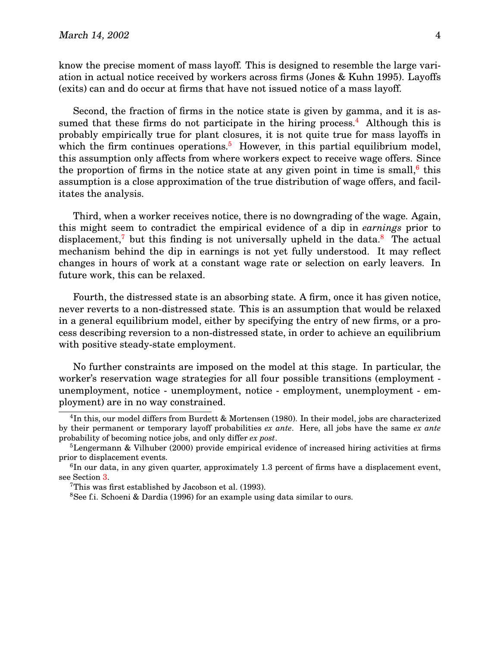know the precise moment of mass layoff. This is designed to resemble the large variation in actual notice received by workers across firms (Jones & Kuhn 1995). Layoffs (exits) can and do occur at firms that have not issued notice of a mass layoff.

Second, the fraction of firms in the notice state is given by gamma, and it is as-sumed that these firms do not participate in the hiring process.<sup>[4](#page-6-0)</sup> Although this is probably empirically true for plant closures, it is not quite true for mass layoffs in which the firm continues operations.<sup>[5](#page-6-1)</sup> However, in this partial equilibrium model, this assumption only affects from where workers expect to receive wage offers. Since the proportion of firms in the notice state at any given point in time is small, $6$  this assumption is a close approximation of the true distribution of wage offers, and facilitates the analysis.

Third, when a worker receives notice, there is no downgrading of the wage. Again, this might seem to contradict the empirical evidence of a dip in *earnings* prior to displacement,<sup>[7](#page-6-3)</sup> but this finding is not universally upheld in the data.<sup>[8](#page-6-4)</sup> The actual mechanism behind the dip in earnings is not yet fully understood. It may reflect changes in hours of work at a constant wage rate or selection on early leavers. In future work, this can be relaxed.

Fourth, the distressed state is an absorbing state. A firm, once it has given notice, never reverts to a non-distressed state. This is an assumption that would be relaxed in a general equilibrium model, either by specifying the entry of new firms, or a process describing reversion to a non-distressed state, in order to achieve an equilibrium with positive steady-state employment.

No further constraints are imposed on the model at this stage. In particular, the worker's reservation wage strategies for all four possible transitions (employment unemployment, notice - unemployment, notice - employment, unemployment - employment) are in no way constrained.

<span id="page-6-0"></span><sup>&</sup>lt;sup>4</sup>In this, our model differs from Burdett & Mortensen (1980). In their model, jobs are characterized by their permanent or temporary layoff probabilities *ex ante*. Here, all jobs have the same *ex ante* probability of becoming notice jobs, and only differ *ex post*.

<span id="page-6-1"></span><sup>&</sup>lt;sup>5</sup>Lengermann & Vilhuber (2000) provide empirical evidence of increased hiring activities at firms prior to displacement events.

 ${}^{6}$ In our data, in any given quarter, approximately 1.3 percent of firms have a displacement event, see Section [3](#page-10-1).

<span id="page-6-2"></span><sup>7</sup>This was first established by Jacobson et al. (1993).

<span id="page-6-4"></span><span id="page-6-3"></span><sup>8</sup>See f.i. Schoeni & Dardia (1996) for an example using data similar to ours.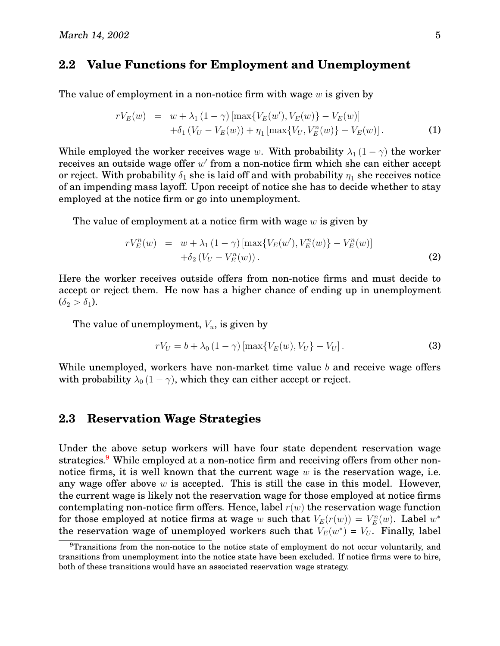#### <span id="page-7-0"></span>**2.2 Value Functions for Employment and Unemployment**

The value of employment in a non-notice firm with wage  $w$  is given by

<span id="page-7-3"></span>
$$
rV_E(w) = w + \lambda_1 (1 - \gamma) [\max\{V_E(w'), V_E(w)\} - V_E(w)] + \delta_1 (V_U - V_E(w)) + \eta_1 [\max\{V_U, V_E^n(w)\} - V_E(w)].
$$
 (1)

While employed the worker receives wage w. With probability  $\lambda_1 (1 - \gamma)$  the worker receives an outside wage offer  $w'$  from a non-notice firm which she can either accept or reject. With probability  $\delta_1$  she is laid off and with probability  $\eta_1$  she receives notice of an impending mass layoff. Upon receipt of notice she has to decide whether to stay employed at the notice firm or go into unemployment.

The value of employment at a notice firm with wage  $w$  is given by

<span id="page-7-4"></span>
$$
rV_E^n(w) = w + \lambda_1 (1 - \gamma) [\max\{V_E(w'), V_E^n(w)\} - V_E^n(w)] + \delta_2 (V_U - V_E^n(w)).
$$
\n(2)

Here the worker receives outside offers from non-notice firms and must decide to accept or reject them. He now has a higher chance of ending up in unemployment  $(\delta_2 > \delta_1)$ .

The value of unemployment,  $V_u$ , is given by

<span id="page-7-5"></span>
$$
rV_U = b + \lambda_0 (1 - \gamma) [\max\{V_E(w), V_U\} - V_U].
$$
\n(3)

While unemployed, workers have non-market time value  $b$  and receive wage offers with probability  $\lambda_0 (1 - \gamma)$ , which they can either accept or reject.

#### <span id="page-7-1"></span>**2.3 Reservation Wage Strategies**

Under the above setup workers will have four state dependent reservation wage strategies.<sup>[9](#page-7-2)</sup> While employed at a non-notice firm and receiving offers from other nonnotice firms, it is well known that the current wage  $w$  is the reservation wage, i.e. any wage offer above  $w$  is accepted. This is still the case in this model. However, the current wage is likely not the reservation wage for those employed at notice firms contemplating non-notice firm offers. Hence, label  $r(w)$  the reservation wage function for those employed at notice firms at wage w such that  $V_E(r(w)) = V_E^n(w)$ . Label  $w^*$ the reservation wage of unemployed workers such that  $V_E(w^*) = V_U$ . Finally, label

<span id="page-7-2"></span> $9$ Transitions from the non-notice to the notice state of employment do not occur voluntarily, and transitions from unemployment into the notice state have been excluded. If notice firms were to hire, both of these transitions would have an associated reservation wage strategy.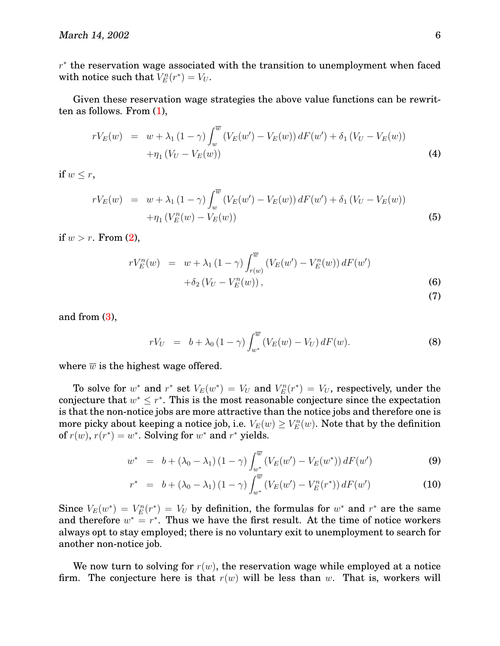$r^*$  the reservation wage associated with the transition to unemployment when faced with notice such that  $V_E^n(r^*) = V_U$ .

Given these reservation wage strategies the above value functions can be rewritten as follows. From [\(1\)](#page-7-3),

$$
rV_E(w) = w + \lambda_1 (1 - \gamma) \int_w^{\overline{w}} (V_E(w') - V_E(w)) dF(w') + \delta_1 (V_U - V_E(w)) + \eta_1 (V_U - V_E(w))
$$
\n(4)

if  $w \leq r$ ,

$$
rV_E(w) = w + \lambda_1 (1 - \gamma) \int_w^{\overline{w}} (V_E(w') - V_E(w)) dF(w') + \delta_1 (V_U - V_E(w)) + \eta_1 (V_E^n(w) - V_E(w))
$$
(5)

if  $w > r$ . From  $(2)$  $(2)$  $(2)$ ,

$$
rV_{E}^{n}(w) = w + \lambda_{1} (1 - \gamma) \int_{r(w)}^{\overline{w}} (V_{E}(w') - V_{E}^{n}(w)) dF(w') + \delta_{2} (V_{U} - V_{E}^{n}(w)),
$$
\n(6)

(7)

and from [\(3\)](#page-7-5),

$$
rV_U = b + \lambda_0 (1 - \gamma) \int_{w^*}^{\overline{w}} (V_E(w) - V_U) dF(w).
$$
 (8)

where  $\overline{w}$  is the highest wage offered.

To solve for  $w^*$  and  $r^*$  set  $V_E(w^*) = V_U$  and  $V_E^n(r^*) = V_U$ , respectively, under the conjecture that  $w^* \leq r^*$ . This is the most reasonable conjecture since the expectation is that the non-notice jobs are more attractive than the notice jobs and therefore one is more picky about keeping a notice job, i.e.  $V_E(w) \geq V_E^n(w)$ . Note that by the definition of  $r(w)$ ,  $r(r^*) = w^*$ . Solving for  $w^*$  and  $r^*$  yields.

$$
w^* = b + (\lambda_0 - \lambda_1) (1 - \gamma) \int_{w_-^*}^{\overline{w}} (V_E(w') - V_E(w^*)) dF(w')
$$
 (9)

$$
r^* = b + (\lambda_0 - \lambda_1) (1 - \gamma) \int_{w^*}^{\overline{w}} (V_E(w') - V_E^n(r^*)) dF(w')
$$
 (10)

Since  $V_E(w^*) = V_E^n(r^*) = V_U$  by definition, the formulas for  $w^*$  and  $r^*$  are the same and therefore  $w^* = r^*$ . Thus we have the first result. At the time of notice workers always opt to stay employed; there is no voluntary exit to unemployment to search for another non-notice job.

We now turn to solving for  $r(w)$ , the reservation wage while employed at a notice firm. The conjecture here is that  $r(w)$  will be less than w. That is, workers will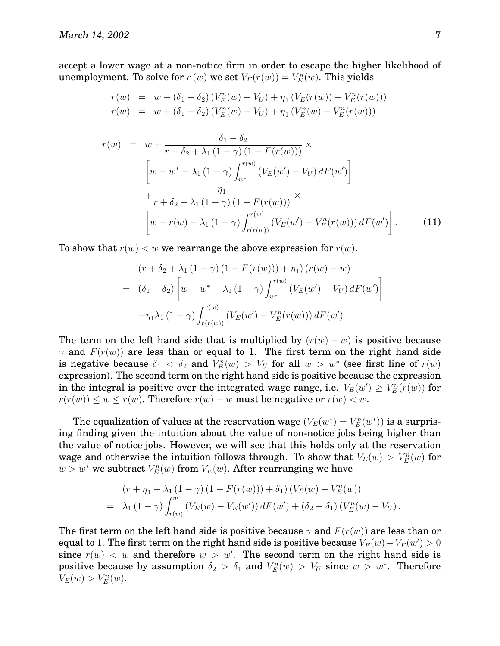accept a lower wage at a non-notice firm in order to escape the higher likelihood of unemployment. To solve for  $r(w)$  we set  $V_E(r(w)) = V_E^n(w)$ . This yields

$$
r(w) = w + (\delta_1 - \delta_2) (V_E^n(w) - V_U) + \eta_1 (V_E(r(w)) - V_E^n(r(w)))
$$
  
\n
$$
r(w) = w + (\delta_1 - \delta_2) (V_E^n(w) - V_U) + \eta_1 (V_E^n(w) - V_E^n(r(w)))
$$

$$
r(w) = w + \frac{\delta_1 - \delta_2}{r + \delta_2 + \lambda_1 (1 - \gamma) (1 - F(r(w)))} \times
$$
  
\n
$$
\left[ w - w^* - \lambda_1 (1 - \gamma) \int_{w^*}^{r(w)} (V_E(w') - V_U) dF(w') \right]
$$
  
\n
$$
+ \frac{\eta_1}{r + \delta_2 + \lambda_1 (1 - \gamma) (1 - F(r(w)))} \times
$$
  
\n
$$
\left[ w - r(w) - \lambda_1 (1 - \gamma) \int_{r(r(w))}^{r(w)} (V_E(w') - V_E^n(r(w))) dF(w') \right].
$$
 (11)

To show that  $r(w) < w$  we rearrange the above expression for  $r(w)$ .

$$
(r + \delta_2 + \lambda_1 (1 - \gamma) (1 - F(r(w))) + \eta_1) (r(w) - w)
$$
  
=  $(\delta_1 - \delta_2) \left[ w - w^* - \lambda_1 (1 - \gamma) \int_{w^*}^{r(w)} (V_E(w') - V_U) dF(w') \right]$   
 $- \eta_1 \lambda_1 (1 - \gamma) \int_{r(r(w))}^{r(w)} (V_E(w') - V_E^n(r(w))) dF(w')$ 

The term on the left hand side that is multiplied by  $(r(w) - w)$  is positive because  $\gamma$  and  $F(r(w))$  are less than or equal to 1. The first term on the right hand side is negative because  $\delta_1 < \delta_2$  and  $V_E^n(w) > V_U$  for all  $w > w^*$  (see first line of  $r(w)$ expression). The second term on the right hand side is positive because the expression in the integral is positive over the integrated wage range, i.e.  $V_E(w') \ge V_E^n(r(w))$  for  $r(r(w)) \leq w \leq r(w)$ . Therefore  $r(w) - w$  must be negative or  $r(w) < w$ .

The equalization of values at the reservation wage  $(V_E(w^*) = V_E^n(w^*))$  is a surprising finding given the intuition about the value of non-notice jobs being higher than the value of notice jobs. However, we will see that this holds only at the reservation wage and otherwise the intuition follows through. To show that  $V_E(w) > V_E^n(w)$  for  $w > w^*$  we subtract  $V_E^n(w)$  from  $V_E(w)$ . After rearranging we have

$$
(r + \eta_1 + \lambda_1 (1 - \gamma) (1 - F(r(w))) + \delta_1) (V_E(w) - V_E^n(w))
$$
  
=  $\lambda_1 (1 - \gamma) \int_{r(w)}^w (V_E(w) - V_E(w')) dF(w') + (\delta_2 - \delta_1) (V_E^n(w) - V_U).$ 

The first term on the left hand side is positive because  $\gamma$  and  $F(r(w))$  are less than or equal to 1. The first term on the right hand side is positive because  $\hat{V}_E(w)-V_E(w')>0$ since  $r(w) < w$  and therefore  $w > w'$ . The second term on the right hand side is positive because by assumption  $\delta_2 > \delta_1$  and  $V_E^n(w) > V_U$  since  $w > w^*$ . Therefore  $V_E(w) > V_E^n(w)$ .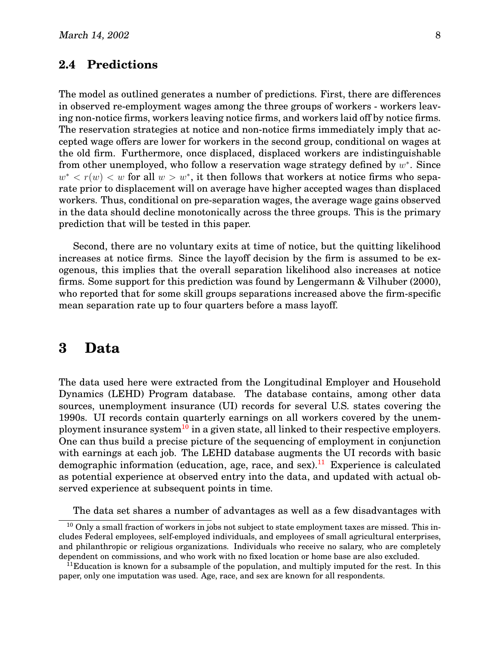### <span id="page-10-0"></span>**2.4 Predictions**

The model as outlined generates a number of predictions. First, there are differences in observed re-employment wages among the three groups of workers - workers leaving non-notice firms, workers leaving notice firms, and workers laid off by notice firms. The reservation strategies at notice and non-notice firms immediately imply that accepted wage offers are lower for workers in the second group, conditional on wages at the old firm. Furthermore, once displaced, displaced workers are indistinguishable from other unemployed, who follow a reservation wage strategy defined by  $w^*$ . Since  $w^* < r(w) < w$  for all  $w > w^*$ , it then follows that workers at notice firms who separate prior to displacement will on average have higher accepted wages than displaced workers. Thus, conditional on pre-separation wages, the average wage gains observed in the data should decline monotonically across the three groups. This is the primary prediction that will be tested in this paper.

Second, there are no voluntary exits at time of notice, but the quitting likelihood increases at notice firms. Since the layoff decision by the firm is assumed to be exogenous, this implies that the overall separation likelihood also increases at notice firms. Some support for this prediction was found by Lengermann & Vilhuber (2000), who reported that for some skill groups separations increased above the firm-specific mean separation rate up to four quarters before a mass layoff.

### <span id="page-10-1"></span>**3 Data**

The data used here were extracted from the Longitudinal Employer and Household Dynamics (LEHD) Program database. The database contains, among other data sources, unemployment insurance (UI) records for several U.S. states covering the 1990s. UI records contain quarterly earnings on all workers covered by the unem-ployment insurance system<sup>[10](#page-10-2)</sup> in a given state, all linked to their respective employers. One can thus build a precise picture of the sequencing of employment in conjunction with earnings at each job. The LEHD database augments the UI records with basic demographic information (education, age, race, and sex).<sup>[11](#page-10-3)</sup> Experience is calculated as potential experience at observed entry into the data, and updated with actual observed experience at subsequent points in time.

The data set shares a number of advantages as well as a few disadvantages with

<span id="page-10-2"></span><sup>&</sup>lt;sup>10</sup> Only a small fraction of workers in jobs not subject to state employment taxes are missed. This includes Federal employees, self-employed individuals, and employees of small agricultural enterprises, and philanthropic or religious organizations. Individuals who receive no salary, who are completely dependent on commissions, and who work with no fixed location or home base are also excluded.

<span id="page-10-3"></span> $11$ Education is known for a subsample of the population, and multiply imputed for the rest. In this paper, only one imputation was used. Age, race, and sex are known for all respondents.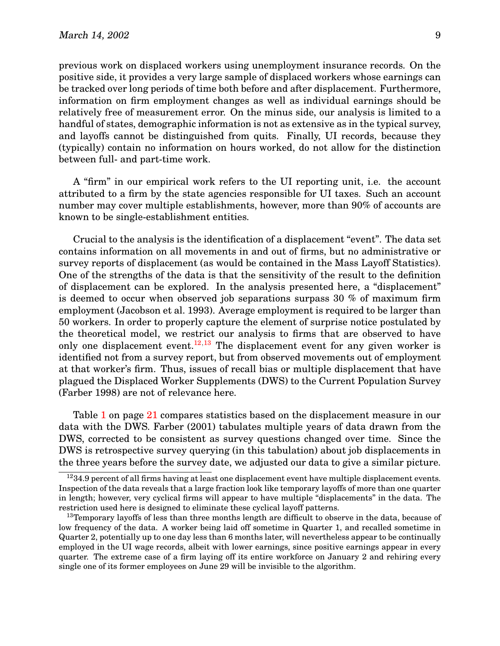previous work on displaced workers using unemployment insurance records. On the positive side, it provides a very large sample of displaced workers whose earnings can be tracked over long periods of time both before and after displacement. Furthermore, information on firm employment changes as well as individual earnings should be relatively free of measurement error. On the minus side, our analysis is limited to a handful of states, demographic information is not as extensive as in the typical survey, and layoffs cannot be distinguished from quits. Finally, UI records, because they (typically) contain no information on hours worked, do not allow for the distinction between full- and part-time work.

A "firm" in our empirical work refers to the UI reporting unit, i.e. the account attributed to a firm by the state agencies responsible for UI taxes. Such an account number may cover multiple establishments, however, more than 90% of accounts are known to be single-establishment entities.

Crucial to the analysis is the identification of a displacement "event". The data set contains information on all movements in and out of firms, but no administrative or survey reports of displacement (as would be contained in the Mass Layoff Statistics). One of the strengths of the data is that the sensitivity of the result to the definition of displacement can be explored. In the analysis presented here, a "displacement" is deemed to occur when observed job separations surpass 30 % of maximum firm employment (Jacobson et al. 1993). Average employment is required to be larger than 50 workers. In order to properly capture the element of surprise notice postulated by the theoretical model, we restrict our analysis to firms that are observed to have only one displacement event.<sup>[12](#page-11-0),[13](#page-11-1)</sup> The displacement event for any given worker is identified not from a survey report, but from observed movements out of employment at that worker's firm. Thus, issues of recall bias or multiple displacement that have plagued the Displaced Worker Supplements (DWS) to the Current Population Survey (Farber 1998) are not of relevance here.

Table [1](#page-33-0) on page [21](#page-33-0) compares statistics based on the displacement measure in our data with the DWS. Farber (2001) tabulates multiple years of data drawn from the DWS, corrected to be consistent as survey questions changed over time. Since the DWS is retrospective survey querying (in this tabulation) about job displacements in the three years before the survey date, we adjusted our data to give a similar picture.

<span id="page-11-0"></span> $1234.9$  percent of all firms having at least one displacement event have multiple displacement events. Inspection of the data reveals that a large fraction look like temporary layoffs of more than one quarter in length; however, very cyclical firms will appear to have multiple "displacements" in the data. The restriction used here is designed to eliminate these cyclical layoff patterns.

<span id="page-11-1"></span><sup>&</sup>lt;sup>13</sup>Temporary layoffs of less than three months length are difficult to observe in the data, because of low frequency of the data. A worker being laid off sometime in Quarter 1, and recalled sometime in Quarter 2, potentially up to one day less than 6 months later, will nevertheless appear to be continually employed in the UI wage records, albeit with lower earnings, since positive earnings appear in every quarter. The extreme case of a firm laying off its entire workforce on January 2 and rehiring every single one of its former employees on June 29 will be invisible to the algorithm.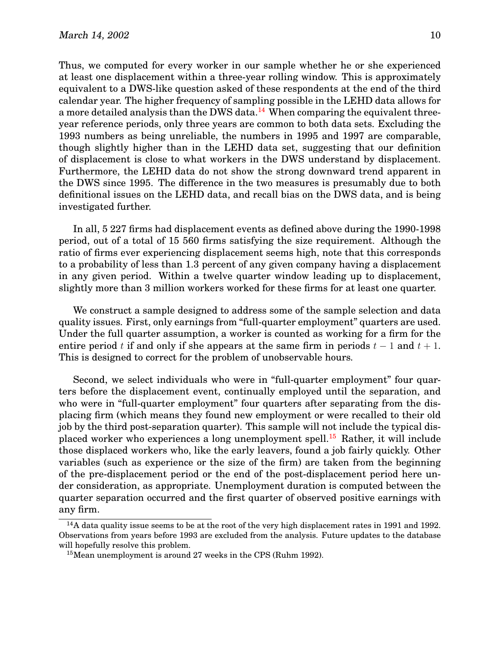Thus, we computed for every worker in our sample whether he or she experienced at least one displacement within a three-year rolling window. This is approximately equivalent to a DWS-like question asked of these respondents at the end of the third calendar year. The higher frequency of sampling possible in the LEHD data allows for a more detailed analysis than the DWS data.<sup>[14](#page-12-0)</sup> When comparing the equivalent threeyear reference periods, only three years are common to both data sets. Excluding the 1993 numbers as being unreliable, the numbers in 1995 and 1997 are comparable, though slightly higher than in the LEHD data set, suggesting that our definition of displacement is close to what workers in the DWS understand by displacement. Furthermore, the LEHD data do not show the strong downward trend apparent in the DWS since 1995. The difference in the two measures is presumably due to both definitional issues on the LEHD data, and recall bias on the DWS data, and is being investigated further.

In all, 5 227 firms had displacement events as defined above during the 1990-1998 period, out of a total of 15 560 firms satisfying the size requirement. Although the ratio of firms ever experiencing displacement seems high, note that this corresponds to a probability of less than 1.3 percent of any given company having a displacement in any given period. Within a twelve quarter window leading up to displacement, slightly more than 3 million workers worked for these firms for at least one quarter.

We construct a sample designed to address some of the sample selection and data quality issues. First, only earnings from "full-quarter employment" quarters are used. Under the full quarter assumption, a worker is counted as working for a firm for the entire period t if and only if she appears at the same firm in periods  $t-1$  and  $t+1$ . This is designed to correct for the problem of unobservable hours.

Second, we select individuals who were in "full-quarter employment" four quarters before the displacement event, continually employed until the separation, and who were in "full-quarter employment" four quarters after separating from the displacing firm (which means they found new employment or were recalled to their old job by the third post-separation quarter). This sample will not include the typical dis-placed worker who experiences a long unemployment spell.<sup>[15](#page-12-1)</sup> Rather, it will include those displaced workers who, like the early leavers, found a job fairly quickly. Other variables (such as experience or the size of the firm) are taken from the beginning of the pre-displacement period or the end of the post-displacement period here under consideration, as appropriate. Unemployment duration is computed between the quarter separation occurred and the first quarter of observed positive earnings with any firm.

<span id="page-12-0"></span> $14A$  data quality issue seems to be at the root of the very high displacement rates in 1991 and 1992. Observations from years before 1993 are excluded from the analysis. Future updates to the database will hopefully resolve this problem.

<span id="page-12-1"></span><sup>&</sup>lt;sup>15</sup>Mean unemployment is around 27 weeks in the CPS (Ruhm 1992).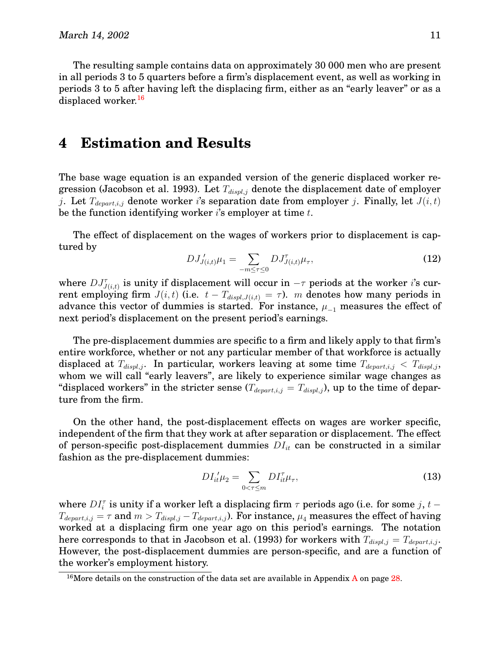The resulting sample contains data on approximately 30 000 men who are present in all periods 3 to 5 quarters before a firm's displacement event, as well as working in periods 3 to 5 after having left the displacing firm, either as an "early leaver" or as a displaced worker.<sup>[16](#page-13-1)</sup>

### <span id="page-13-0"></span>**4 Estimation and Results**

The base wage equation is an expanded version of the generic displaced worker regression (Jacobson et al. 1993). Let  $T_{displ,j}$  denote the displacement date of employer j. Let  $T_{depart,i,j}$  denote worker i's separation date from employer j. Finally, let  $J(i, t)$ be the function identifying worker is employer at time  $t$ .

The effect of displacement on the wages of workers prior to displacement is captured by

<span id="page-13-2"></span>
$$
DJ'_{J(i,t)}\mu_1 = \sum_{-m \le \tau \le 0} DJ^{\tau}_{J(i,t)}\mu_{\tau},
$$
\n(12)

where  $DJ^{\tau}_{J(i,t)}$  is unity if displacement will occur in  $-\tau$  periods at the worker *i*'s current employing firm  $J(i, t)$  (i.e.  $t - T_{displ, J(i, t)} = \tau$ ). m denotes how many periods in advance this vector of dummies is started. For instance,  $\mu_{-1}$  measures the effect of next period's displacement on the present period's earnings.

The pre-displacement dummies are specific to a firm and likely apply to that firm's entire workforce, whether or not any particular member of that workforce is actually displaced at  $T_{displ,j}$ . In particular, workers leaving at some time  $T_{depart,i,j} < T_{displ,j}$ , whom we will call "early leavers", are likely to experience similar wage changes as "displaced workers" in the stricter sense  $(T_{department,i} = T_{displ,j})$ , up to the time of departure from the firm.

On the other hand, the post-displacement effects on wages are worker specific, independent of the firm that they work at after separation or displacement. The effect of person-specific post-displacement dummies  $DI_{it}$  can be constructed in a similar fashion as the pre-displacement dummies:

<span id="page-13-3"></span>
$$
DI_{it}^{\prime}\mu_{2} = \sum_{0<\tau\leq m} DI_{it}^{\tau}\mu_{\tau},\tag{13}
$$

where  $DI_i^{\tau}$  is unity if a worker left a displacing firm  $\tau$  periods ago (i.e. for some  $j,$   $t$  –  $T_{depart,i,j} = \tau$  and  $m > T_{displ,j} - T_{depart,i,j}$ ). For instance,  $\mu_4$  measures the effect of having worked at a displacing firm one year ago on this period's earnings. The notation here corresponds to that in Jacobson et al. (1993) for workers with  $T_{displ,j} = T_{depart,i,j}$ . However, the post-displacement dummies are person-specific, and are a function of the worker's employment history.

<span id="page-13-1"></span><sup>&</sup>lt;sup>16</sup>More details on the construction of the data set are available in [A](#page-30-0)ppendix A on page  $28$ .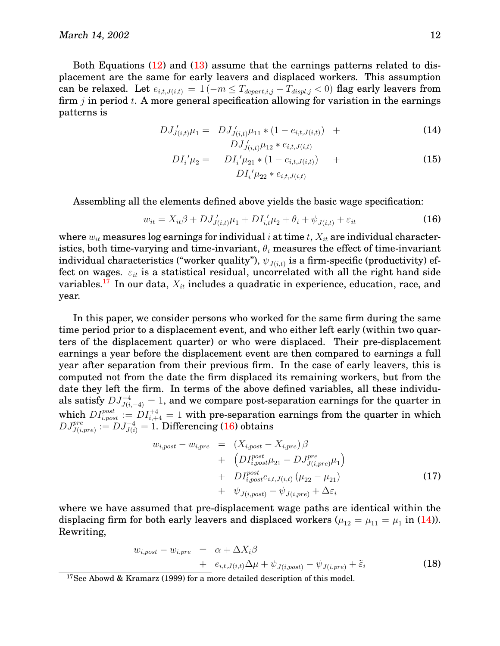Both Equations ([12](#page-13-2)) and [\(13\)](#page-13-3) assume that the earnings patterns related to displacement are the same for early leavers and displaced workers. This assumption can be relaxed. Let  $e_{i,t,J(i,t)} = 1$  ( $-m \leq T_{depart,i,j} - T_{displ,j} < 0$ ) flag early leavers from firm  $j$  in period  $t$ . A more general specification allowing for variation in the earnings patterns is

<span id="page-14-2"></span>
$$
DJ'_{J(i,t)}\mu_1 = DJ'_{J(i,t)}\mu_{11} * (1 - e_{i,t,J(i,t)}) + DJ'_{J(i,t)}\mu_{12} * e_{i,t,J(i,t)}
$$
\n(14)

$$
DI_{i}'\mu_{2} = DI_{i}'\mu_{21} * (1 - e_{i,t,J(i,t)}) + DI_{i}'\mu_{22} * e_{i,t,J(i,t)}
$$
\n(15)

Assembling all the elements defined above yields the basic wage specification:

<span id="page-14-1"></span>
$$
w_{it} = X_{it}\beta + DJ'_{j(i,t)}\mu_1 + DI'_{i,t}\mu_2 + \theta_i + \psi_{J(i,t)} + \varepsilon_{it}
$$
\n(16)

where  $w_{it}$  measures log earnings for individual i at time t,  $X_{it}$  are individual characteristics, both time-varying and time-invariant,  $\theta_i$  measures the effect of time-invariant individual characteristics ("worker quality"),  $\psi_{J(i, t)}$  is a firm-specific (productivity) effect on wages.  $\varepsilon_{it}$  is a statistical residual, uncorrelated with all the right hand side variables.<sup>[17](#page-14-0)</sup> In our data,  $X_{it}$  includes a quadratic in experience, education, race, and year.

In this paper, we consider persons who worked for the same firm during the same time period prior to a displacement event, and who either left early (within two quarters of the displacement quarter) or who were displaced. Their pre-displacement earnings a year before the displacement event are then compared to earnings a full year after separation from their previous firm. In the case of early leavers, this is computed not from the date the firm displaced its remaining workers, but from the date they left the firm. In terms of the above defined variables, all these individuals satisfy  $DJ_{J(i,-4)}^{-4}=1$ , and we compare post-separation earnings for the quarter in which  $DI_{i,post}^{post} := DI_{i,+4}^{+4} = 1$  with pre-separation earnings from the quarter in which  $DJ_{J(i,pre)}^{pre} := DJ_{J(i)}^{-4} = 1.$  Differencing [\(16](#page-14-1)) obtains

$$
w_{i,post} - w_{i,pre} = (X_{i,post} - X_{i,pre})\beta
$$
  
+ 
$$
(DI_{i,post}^{post}\mu_{21} - DJ_{J(i,pre)}^{pre}\mu_1)
$$
  
+ 
$$
DI_{i,post}^{post}e_{i,t,J(i,t)}(\mu_{22} - \mu_{21})
$$
  
+ 
$$
\psi_{J(i,post)} - \psi_{J(i,pre)} + \Delta\varepsilon_i
$$
 (17)

where we have assumed that pre-displacement wage paths are identical within the displacing firm for both early leavers and displaced workers ( $\mu_{12} = \mu_{11} = \mu_1$  in [\(14\)](#page-14-2)). Rewriting,

<span id="page-14-3"></span>
$$
w_{i,post} - w_{i,pre} = \alpha + \Delta X_i \beta + e_{i,t,J(i,t)} \Delta \mu + \psi_{J(i,post)} - \psi_{J(i,pre)} + \tilde{\varepsilon}_i
$$
\n(18)

<span id="page-14-0"></span><sup>&</sup>lt;sup>17</sup>See Abowd & Kramarz (1999) for a more detailed description of this model.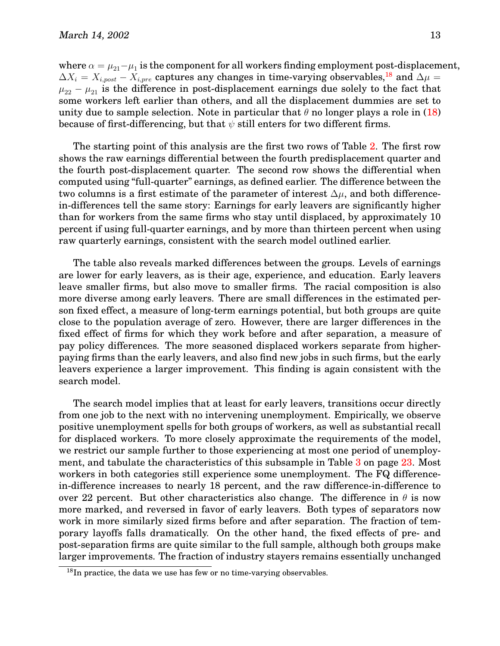where  $\alpha = \mu_{21} - \mu_1$  is the component for all workers finding employment post-displacement,  $\Delta X_i = X_{i,post} - X_{i,pre}$  captures any changes in time-varying observables,<sup>[18](#page-15-0)</sup> and  $\Delta \mu =$  $\mu_{22} - \mu_{21}$  is the difference in post-displacement earnings due solely to the fact that some workers left earlier than others, and all the displacement dummies are set to unity due to sample selection. Note in particular that  $\theta$  no longer plays a role in ([18](#page-14-3)) because of first-differencing, but that  $\psi$  still enters for two different firms.

The starting point of this analysis are the first two rows of Table [2.](#page-34-0) The first row shows the raw earnings differential between the fourth predisplacement quarter and the fourth post-displacement quarter. The second row shows the differential when computed using "full-quarter" earnings, as defined earlier. The difference between the two columns is a first estimate of the parameter of interest  $\Delta \mu$ , and both differencein-differences tell the same story: Earnings for early leavers are significantly higher than for workers from the same firms who stay until displaced, by approximately 10 percent if using full-quarter earnings, and by more than thirteen percent when using raw quarterly earnings, consistent with the search model outlined earlier.

The table also reveals marked differences between the groups. Levels of earnings are lower for early leavers, as is their age, experience, and education. Early leavers leave smaller firms, but also move to smaller firms. The racial composition is also more diverse among early leavers. There are small differences in the estimated person fixed effect, a measure of long-term earnings potential, but both groups are quite close to the population average of zero. However, there are larger differences in the fixed effect of firms for which they work before and after separation, a measure of pay policy differences. The more seasoned displaced workers separate from higherpaying firms than the early leavers, and also find new jobs in such firms, but the early leavers experience a larger improvement. This finding is again consistent with the search model.

The search model implies that at least for early leavers, transitions occur directly from one job to the next with no intervening unemployment. Empirically, we observe positive unemployment spells for both groups of workers, as well as substantial recall for displaced workers. To more closely approximate the requirements of the model, we restrict our sample further to those experiencing at most one period of unemployment, and tabulate the characteristics of this subsample in Table [3](#page-25-0) on page [23.](#page-25-0) Most workers in both categories still experience some unemployment. The FQ differencein-difference increases to nearly 18 percent, and the raw difference-in-difference to over 22 percent. But other characteristics also change. The difference in  $\theta$  is now more marked, and reversed in favor of early leavers. Both types of separators now work in more similarly sized firms before and after separation. The fraction of temporary layoffs falls dramatically. On the other hand, the fixed effects of pre- and post-separation firms are quite similar to the full sample, although both groups make larger improvements. The fraction of industry stayers remains essentially unchanged

<span id="page-15-0"></span> $^{18}$ In practice, the data we use has few or no time-varying observables.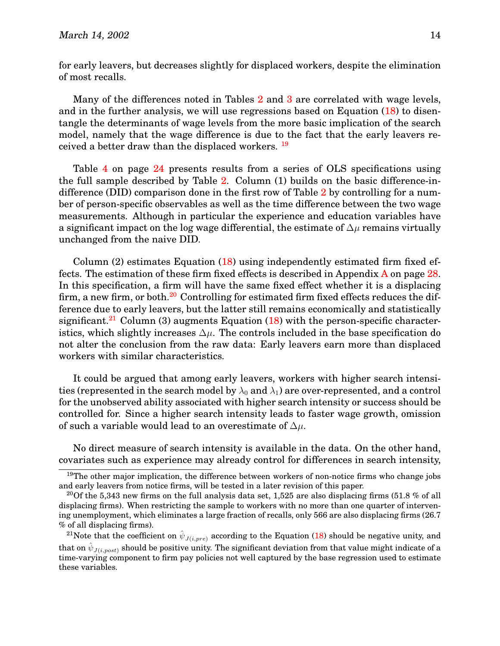Many of the differences noted in Tables [2](#page-34-0) and [3](#page-25-0) are correlated with wage levels, and in the further analysis, we will use regressions based on Equation [\(18\)](#page-14-3) to disentangle the determinants of wage levels from the more basic implication of the search model, namely that the wage difference is due to the fact that the early leavers received a better draw than the displaced workers. [19](#page-16-0)

Table [4](#page-26-0) on page [24](#page-26-0) presents results from a series of OLS specifications using the full sample described by Table [2](#page-34-0). Column (1) builds on the basic difference-indifference (DID) comparison done in the first row of Table [2](#page-34-0) by controlling for a number of person-specific observables as well as the time difference between the two wage measurements. Although in particular the experience and education variables have a significant impact on the log wage differential, the estimate of  $\Delta\mu$  remains virtually unchanged from the naive DID.

Column  $(2)$  estimates Equation  $(18)$  $(18)$  using independently estimated firm fixed effects. The estimation of these firm fixed effects is described in Appendix [A](#page-30-0) on page [28.](#page-30-0) In this specification, a firm will have the same fixed effect whether it is a displacing firm, a new firm, or both.<sup>[20](#page-16-1)</sup> Controlling for estimated firm fixed effects reduces the difference due to early leavers, but the latter still remains economically and statistically significant.<sup>[21](#page-16-2)</sup> Column (3) augments Equation ([18](#page-14-3)) with the person-specific characteristics, which slightly increases  $\Delta \mu$ . The controls included in the base specification do not alter the conclusion from the raw data: Early leavers earn more than displaced workers with similar characteristics.

It could be argued that among early leavers, workers with higher search intensities (represented in the search model by  $\lambda_0$  and  $\lambda_1$ ) are over-represented, and a control for the unobserved ability associated with higher search intensity or success should be controlled for. Since a higher search intensity leads to faster wage growth, omission of such a variable would lead to an overestimate of  $\Delta \mu$ .

No direct measure of search intensity is available in the data. On the other hand, covariates such as experience may already control for differences in search intensity,

<span id="page-16-0"></span> $19$ The other major implication, the difference between workers of non-notice firms who change jobs and early leavers from notice firms, will be tested in a later revision of this paper.

<span id="page-16-1"></span><sup>&</sup>lt;sup>20</sup>Of the 5,343 new firms on the full analysis data set, 1,525 are also displacing firms (51.8 % of all displacing firms). When restricting the sample to workers with no more than one quarter of intervening unemployment, which eliminates a large fraction of recalls, only 566 are also displacing firms (26.7 % of all displacing firms).

<span id="page-16-2"></span> $^{21}$ Note that the coefficient on  $\hat{\psi}_{J(i,pre)}$  according to the Equation [\(18](#page-14-3)) should be negative unity, and that on  $\hat{\psi}_{J(i,post)}$  should be positive unity. The significant deviation from that value might indicate of a time-varying component to firm pay policies not well captured by the base regression used to estimate these variables.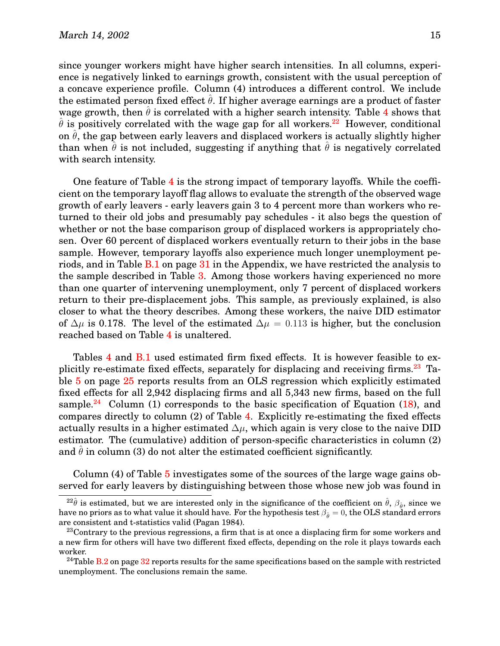since younger workers might have higher search intensities. In all columns, experience is negatively linked to earnings growth, consistent with the usual perception of a concave experience profile. Column (4) introduces a different control. We include the estimated person fixed effect  $\theta$ . If higher average earnings are a product of faster wage growth, then  $\hat{\theta}$  is correlated with a higher search intensity. Table [4](#page-26-0) shows that  $\theta$  is positively correlated with the wage gap for all workers.<sup>[22](#page-17-0)</sup> However, conditional on  $\hat{\theta}$ , the gap between early leavers and displaced workers is actually slightly higher than when  $\hat{\theta}$  is not included, suggesting if anything that  $\hat{\theta}$  is negatively correlated with search intensity.

One feature of Table [4](#page-26-0) is the strong impact of temporary layoffs. While the coefficient on the temporary layoff flag allows to evaluate the strength of the observed wage growth of early leavers - early leavers gain 3 to 4 percent more than workers who returned to their old jobs and presumably pay schedules - it also begs the question of whether or not the base comparison group of displaced workers is appropriately chosen. Over 60 percent of displaced workers eventually return to their jobs in the base sample. However, temporary layoffs also experience much longer unemployment periods, and in Table [B.1](#page-33-0) on page [31](#page-33-0) in the Appendix, we have restricted the analysis to the sample described in Table [3](#page-25-0). Among those workers having experienced no more than one quarter of intervening unemployment, only 7 percent of displaced workers return to their pre-displacement jobs. This sample, as previously explained, is also closer to what the theory describes. Among these workers, the naive DID estimator of  $\Delta \mu$  is 0.178. The level of the estimated  $\Delta \mu = 0.113$  is higher, but the conclusion reached based on Table [4](#page-26-0) is unaltered.

Tables [4](#page-26-0) and [B.1](#page-33-0) used estimated firm fixed effects. It is however feasible to ex-plicitly re-estimate fixed effects, separately for displacing and receiving firms.<sup>[23](#page-17-1)</sup> Table [5](#page-27-0) on page [25](#page-27-0) reports results from an OLS regression which explicitly estimated fixed effects for all 2,942 displacing firms and all 5,343 new firms, based on the full sample.<sup>[24](#page-17-2)</sup> Column (1) corresponds to the basic specification of Equation [\(18](#page-14-3)), and compares directly to column (2) of Table [4.](#page-26-0) Explicitly re-estimating the fixed effects actually results in a higher estimated  $\Delta \mu$ , which again is very close to the naive DID estimator. The (cumulative) addition of person-specific characteristics in column (2) and  $\theta$  in column (3) do not alter the estimated coefficient significantly.

Column (4) of Table [5](#page-27-0) investigates some of the sources of the large wage gains observed for early leavers by distinguishing between those whose new job was found in

<span id="page-17-0"></span><sup>&</sup>lt;sup>22</sup> $\hat{\theta}$  is estimated, but we are interested only in the significance of the coefficient on  $\hat{\theta}$ ,  $\beta_{\hat{\theta}}$ , since we have no priors as to what value it should have. For the hypothesis test  $\beta_{\hat{\theta}} = 0$ , the OLS standard errors are consistent and t-statistics valid (Pagan 1984).

<span id="page-17-1"></span> $23$ Contrary to the previous regressions, a firm that is at once a displacing firm for some workers and a new firm for others will have two different fixed effects, depending on the role it plays towards each worker.

<span id="page-17-2"></span> $24$ Table [B.2](#page-34-0) on page  $32$  reports results for the same specifications based on the sample with restricted unemployment. The conclusions remain the same.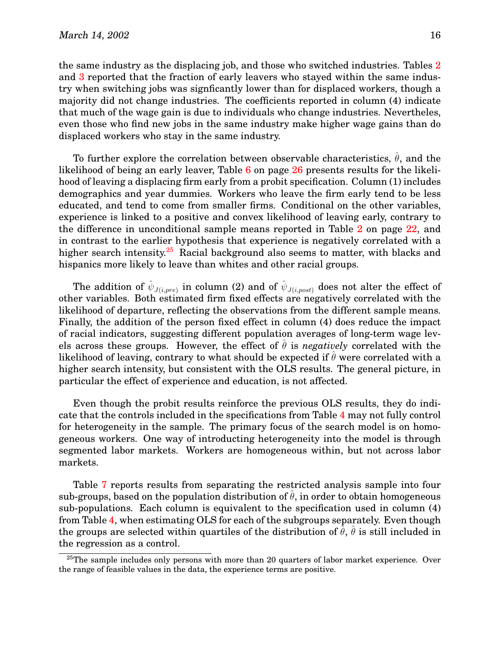the same industry as the displacing job, and those who switched industries. Tables [2](#page-34-0) and [3](#page-25-0) reported that the fraction of early leavers who stayed within the same industry when switching jobs was signficantly lower than for displaced workers, though a majority did not change industries. The coefficients reported in column (4) indicate that much of the wage gain is due to individuals who change industries. Nevertheles, even those who find new jobs in the same industry make higher wage gains than do displaced workers who stay in the same industry.

To further explore the correlation between observable characteristics,  $\hat{\theta}$ , and the likelihood of being an early leaver, Table [6](#page-28-0) on page [26](#page-28-0) presents results for the likelihood of leaving a displacing firm early from a probit specification. Column (1) includes demographics and year dummies. Workers who leave the firm early tend to be less educated, and tend to come from smaller firms. Conditional on the other variables, experience is linked to a positive and convex likelihood of leaving early, contrary to the difference in unconditional sample means reported in Table [2](#page-34-0) on page [22,](#page-34-0) and in contrast to the earlier hypothesis that experience is negatively correlated with a higher search intensity.<sup>[25](#page-18-0)</sup> Racial background also seems to matter, with blacks and hispanics more likely to leave than whites and other racial groups.

The addition of  $\hat{\psi}_{J(i,pre)}$  in column (2) and of  $\hat{\psi}_{J(i,post)}$  does not alter the effect of other variables. Both estimated firm fixed effects are negatively correlated with the likelihood of departure, reflecting the observations from the different sample means. Finally, the addition of the person fixed effect in column (4) does reduce the impact of racial indicators, suggesting different population averages of long-term wage levels across these groups. However, the effect of  $\hat{\theta}$  is *negatively* correlated with the likelihood of leaving, contrary to what should be expected if  $\theta$  were correlated with a higher search intensity, but consistent with the OLS results. The general picture, in particular the effect of experience and education, is not affected.

Even though the probit results reinforce the previous OLS results, they do indicate that the controls included in the specifications from Table [4](#page-26-0) may not fully control for heterogeneity in the sample. The primary focus of the search model is on homogeneous workers. One way of introducting heterogeneity into the model is through segmented labor markets. Workers are homogeneous within, but not across labor markets.

Table [7](#page-29-0) reports results from separating the restricted analysis sample into four sub-groups, based on the population distribution of  $\theta$ , in order to obtain homogeneous sub-populations. Each column is equivalent to the specification used in column (4) from Table [4](#page-26-0), when estimating OLS for each of the subgroups separately. Even though the groups are selected within quartiles of the distribution of  $\tilde{\theta}$ ,  $\hat{\theta}$  is still included in the regression as a control.

<span id="page-18-0"></span> $25$ The sample includes only persons with more than 20 quarters of labor market experience. Over the range of feasible values in the data, the experience terms are positive.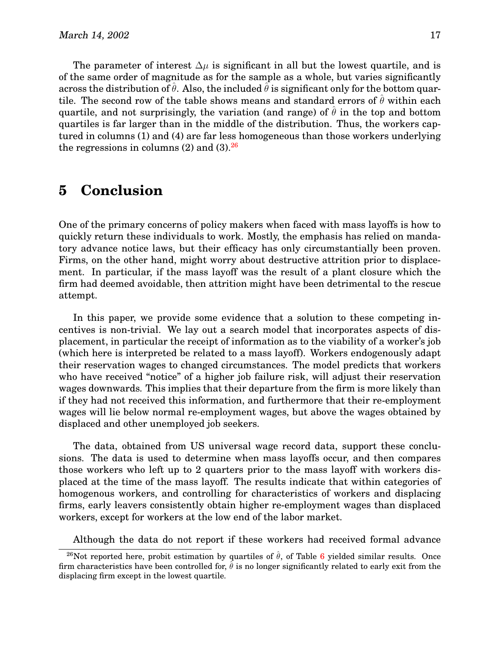The parameter of interest  $\Delta\mu$  is significant in all but the lowest quartile, and is of the same order of magnitude as for the sample as a whole, but varies significantly across the distribution of  $\theta$ . Also, the included  $\theta$  is significant only for the bottom quartile. The second row of the table shows means and standard errors of  $\theta$  within each quartile, and not surprisingly, the variation (and range) of  $\theta$  in the top and bottom quartiles is far larger than in the middle of the distribution. Thus, the workers captured in columns (1) and (4) are far less homogeneous than those workers underlying the regressions in columns  $(2)$  and  $(3)$ .<sup>[26](#page-19-1)</sup>

### <span id="page-19-0"></span>**5 Conclusion**

One of the primary concerns of policy makers when faced with mass layoffs is how to quickly return these individuals to work. Mostly, the emphasis has relied on mandatory advance notice laws, but their efficacy has only circumstantially been proven. Firms, on the other hand, might worry about destructive attrition prior to displacement. In particular, if the mass layoff was the result of a plant closure which the firm had deemed avoidable, then attrition might have been detrimental to the rescue attempt.

In this paper, we provide some evidence that a solution to these competing incentives is non-trivial. We lay out a search model that incorporates aspects of displacement, in particular the receipt of information as to the viability of a worker's job (which here is interpreted be related to a mass layoff). Workers endogenously adapt their reservation wages to changed circumstances. The model predicts that workers who have received "notice" of a higher job failure risk, will adjust their reservation wages downwards. This implies that their departure from the firm is more likely than if they had not received this information, and furthermore that their re-employment wages will lie below normal re-employment wages, but above the wages obtained by displaced and other unemployed job seekers.

The data, obtained from US universal wage record data, support these conclusions. The data is used to determine when mass layoffs occur, and then compares those workers who left up to 2 quarters prior to the mass layoff with workers displaced at the time of the mass layoff. The results indicate that within categories of homogenous workers, and controlling for characteristics of workers and displacing firms, early leavers consistently obtain higher re-employment wages than displaced workers, except for workers at the low end of the labor market.

Although the data do not report if these workers had received formal advance

<span id="page-19-1"></span><sup>&</sup>lt;sup>2[6](#page-28-0)</sup>Not reported here, probit estimation by quartiles of  $\hat{\theta}$ , of Table 6 yielded similar results. Once firm characteristics have been controlled for,  $\hat{\theta}$  is no longer significantly related to early exit from the displacing firm except in the lowest quartile.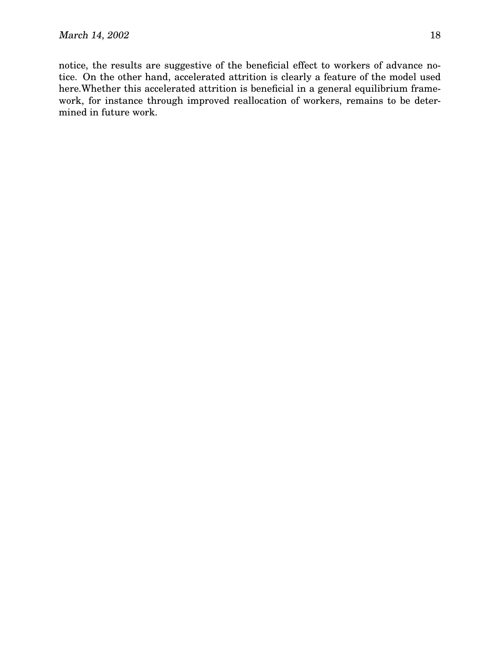notice, the results are suggestive of the beneficial effect to workers of advance notice. On the other hand, accelerated attrition is clearly a feature of the model used here.Whether this accelerated attrition is beneficial in a general equilibrium framework, for instance through improved reallocation of workers, remains to be determined in future work.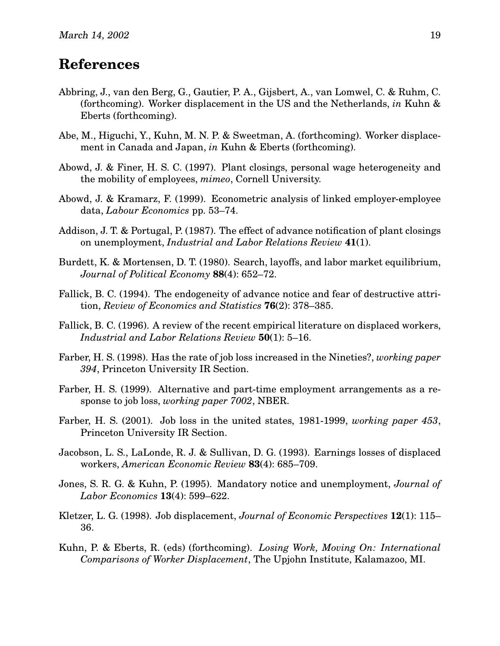### **References**

- Abbring, J., van den Berg, G., Gautier, P. A., Gijsbert, A., van Lomwel, C. & Ruhm, C. (forthcoming). Worker displacement in the US and the Netherlands, *in* Kuhn & Eberts (forthcoming).
- Abe, M., Higuchi, Y., Kuhn, M. N. P. & Sweetman, A. (forthcoming). Worker displacement in Canada and Japan, *in* Kuhn & Eberts (forthcoming).
- Abowd, J. & Finer, H. S. C. (1997). Plant closings, personal wage heterogeneity and the mobility of employees, *mimeo*, Cornell University.
- Abowd, J. & Kramarz, F. (1999). Econometric analysis of linked employer-employee data, *Labour Economics* pp. 53–74.
- Addison, J. T. & Portugal, P. (1987). The effect of advance notification of plant closings on unemployment, *Industrial and Labor Relations Review* **41**(1).
- Burdett, K. & Mortensen, D. T. (1980). Search, layoffs, and labor market equilibrium, *Journal of Political Economy* **88**(4): 652–72.
- Fallick, B. C. (1994). The endogeneity of advance notice and fear of destructive attrition, *Review of Economics and Statistics* **76**(2): 378–385.
- Fallick, B. C. (1996). A review of the recent empirical literature on displaced workers, *Industrial and Labor Relations Review* **50**(1): 5–16.
- Farber, H. S. (1998). Has the rate of job loss increased in the Nineties?, *working paper 394*, Princeton University IR Section.
- Farber, H. S. (1999). Alternative and part-time employment arrangements as a response to job loss, *working paper 7002*, NBER.
- Farber, H. S. (2001). Job loss in the united states, 1981-1999, *working paper 453*, Princeton University IR Section.
- Jacobson, L. S., LaLonde, R. J. & Sullivan, D. G. (1993). Earnings losses of displaced workers, *American Economic Review* **83**(4): 685–709.
- Jones, S. R. G. & Kuhn, P. (1995). Mandatory notice and unemployment, *Journal of Labor Economics* **13**(4): 599–622.
- Kletzer, L. G. (1998). Job displacement, *Journal of Economic Perspectives* **12**(1): 115– 36.
- Kuhn, P. & Eberts, R. (eds) (forthcoming). *Losing Work, Moving On: International Comparisons of Worker Displacement*, The Upjohn Institute, Kalamazoo, MI.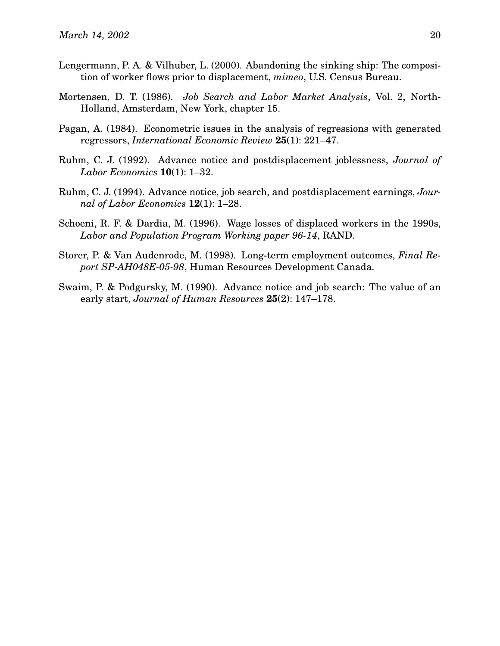- Lengermann, P. A. & Vilhuber, L. (2000). Abandoning the sinking ship: The composition of worker flows prior to displacement, *mimeo*, U.S. Census Bureau.
- Mortensen, D. T. (1986). *Job Search and Labor Market Analysis*, Vol. 2, North-Holland, Amsterdam, New York, chapter 15.
- Pagan, A. (1984). Econometric issues in the analysis of regressions with generated regressors, *International Economic Review* **25**(1): 221–47.
- Ruhm, C. J. (1992). Advance notice and postdisplacement joblessness, *Journal of Labor Economics* **10**(1): 1–32.
- Ruhm, C. J. (1994). Advance notice, job search, and postdisplacement earnings, *Journal of Labor Economics* **12**(1): 1–28.
- Schoeni, R. F. & Dardia, M. (1996). Wage losses of displaced workers in the 1990s, *Labor and Population Program Working paper 96-14*, RAND.
- Storer, P. & Van Audenrode, M. (1998). Long-term employment outcomes, *Final Report SP-AH048E-05-98*, Human Resources Development Canada.
- Swaim, P. & Podgursky, M. (1990). Advance notice and job search: The value of an early start, *Journal of Human Resources* **25**(2): 147–178.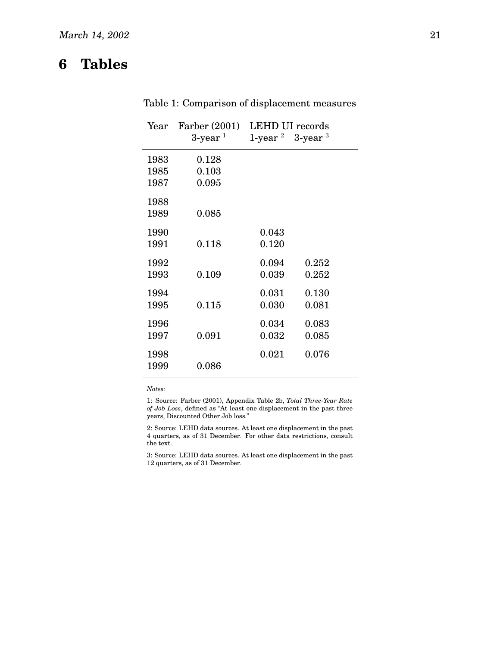## <span id="page-23-0"></span>**6 Tables**

| Year | Farber $(2001)$ | <b>LEHD UI</b> records              |       |
|------|-----------------|-------------------------------------|-------|
|      | $3$ -year $^1$  | 1-year $2\degree$ 3-year $3\degree$ |       |
| 1983 | 0.128           |                                     |       |
| 1985 | 0.103           |                                     |       |
| 1987 | 0.095           |                                     |       |
| 1988 |                 |                                     |       |
| 1989 | 0.085           |                                     |       |
| 1990 |                 | 0.043                               |       |
| 1991 | 0.118           | 0.120                               |       |
| 1992 |                 | 0.094                               | 0.252 |
| 1993 | 0.109           | 0.039                               | 0.252 |
| 1994 |                 | 0.031                               | 0.130 |
| 1995 | 0.115           | 0.030                               | 0.081 |
| 1996 |                 | 0.034                               | 0.083 |
| 1997 | 0.091           | 0.032                               | 0.085 |
| 1998 |                 | 0.021                               | 0.076 |
| 1999 | 0.086           |                                     |       |

Table 1: Comparison of displacement measures

*Notes:*

1: Source: Farber (2001), Appendix Table 2b, *Total Three-Year Rate of Job Loss*, defined as "At least one displacement in the past three years, Discounted Other Job loss."

2: Source: LEHD data sources. At least one displacement in the past 4 quarters, as of 31 December. For other data restrictions, consult the text.

3: Source: LEHD data sources. At least one displacement in the past 12 quarters, as of 31 December.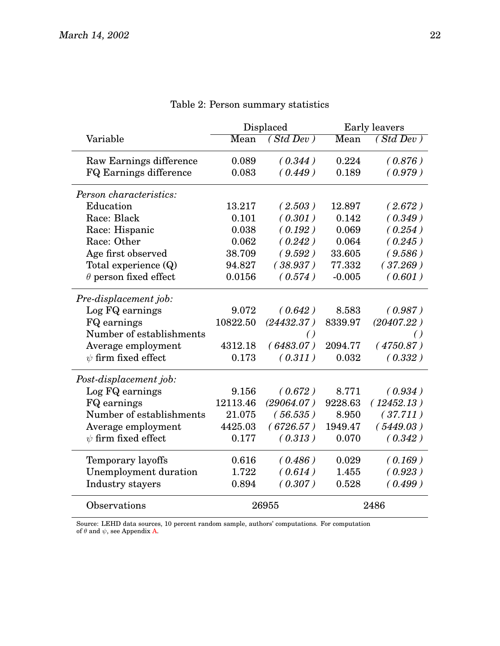|                              |          | Displaced               |          | <b>Early leavers</b> |
|------------------------------|----------|-------------------------|----------|----------------------|
| Variable                     | Mean     | $(\overline{Std\ Dev})$ | Mean     | (Std Dev)            |
| Raw Earnings difference      | 0.089    | (0.344)                 | 0.224    | (0.876)              |
| FQ Earnings difference       | 0.083    | (0.449)                 | 0.189    | (0.979)              |
| Person characteristics:      |          |                         |          |                      |
| Education                    | 13.217   | (2.503)                 | 12.897   | (2.672)              |
| Race: Black                  | 0.101    | (0.301)                 | 0.142    | (0.349)              |
| Race: Hispanic               | 0.038    | (0.192)                 | 0.069    | (0.254)              |
| Race: Other                  | 0.062    | (0.242)                 | 0.064    | (0.245)              |
| Age first observed           | 38.709   | (9.592)                 | 33.605   | (9.586)              |
| Total experience (Q)         | 94.827   | (38.937)                | 77.332   | (37.269)             |
| $\theta$ person fixed effect | 0.0156   | (0.574)                 | $-0.005$ | (0.601)              |
| Pre-displacement job:        |          |                         |          |                      |
| Log FQ earnings              | 9.072    | (0.642)                 | 8.583    | (0.987)              |
| FQ earnings                  | 10822.50 | (24432.37)              | 8339.97  | (20407.22)           |
| Number of establishments     |          | $\left( \right)$        |          | $\left( \right)$     |
| Average employment           | 4312.18  | (6483.07)               | 2094.77  | (4750.87)            |
| $\psi$ firm fixed effect     | 0.173    | (0.311)                 | 0.032    | (0.332)              |
| Post-displacement job:       |          |                         |          |                      |
| Log FQ earnings              | 9.156    | (0.672)                 | 8.771    | (0.934)              |
| FQ earnings                  | 12113.46 | (29064.07)              | 9228.63  | (12452.13)           |
| Number of establishments     | 21.075   | (56.535)                | 8.950    | (37.711)             |
| Average employment           | 4425.03  | (6726.57)               | 1949.47  | (5449.03)            |
| $\psi$ firm fixed effect     | 0.177    | (0.313)                 | 0.070    | (0.342)              |
| Temporary layoffs            | 0.616    | (0.486)                 | 0.029    | (0.169)              |
| Unemployment duration        | 1.722    | (0.614)                 | 1.455    | (0.923)              |
| Industry stayers             | 0.894    | (0.307)                 | 0.528    | (0.499)              |
| Observations                 |          | 26955                   |          | 2486                 |

### Table 2: Person summary statistics

Source: LEHD data sources, 10 percent random sample, authors' computations. For computation of  $\theta$  and  $\psi$ , see [A](#page-30-0)ppendix A.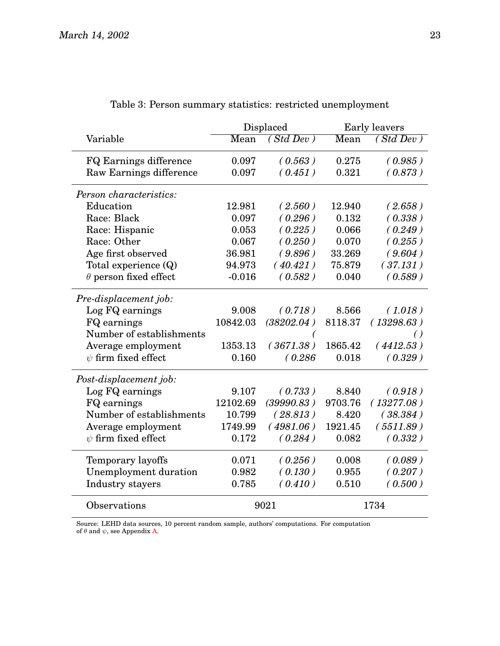|                              |          | Displaced   |         | Early leavers    |
|------------------------------|----------|-------------|---------|------------------|
| Variable                     | Mean     | $(Std$ Dev) | Mean    | $(Std$ Dev)      |
| FQ Earnings difference       | 0.097    | (0.563)     | 0.275   | (0.985)          |
| Raw Earnings difference      | 0.097    | (0.451)     | 0.321   | (0.873)          |
| Person characteristics:      |          |             |         |                  |
| Education                    | 12.981   | (2.560)     | 12.940  | (2.658)          |
| Race: Black                  | 0.097    | (0.296)     | 0.132   | (0.338)          |
| Race: Hispanic               | 0.053    | (0.225)     | 0.066   | (0.249)          |
| Race: Other                  | 0.067    | (0.250)     | 0.070   | (0.255)          |
| Age first observed           | 36.981   | (9.896)     | 33.269  | (9.604)          |
| Total experience (Q)         | 94.973   | (40.421)    | 75.879  | (37.131)         |
| $\theta$ person fixed effect | $-0.016$ | (0.582)     | 0.040   | (0.589)          |
| Pre-displacement job:        |          |             |         |                  |
| Log FQ earnings              | 9.008    | (0.718)     | 8.566   | (1.018)          |
| FQ earnings                  | 10842.03 | (38202.04)  | 8118.37 | (13298.63)       |
| Number of establishments     |          |             |         | $\left( \right)$ |
| Average employment           | 1353.13  | (3671.38)   | 1865.42 | (4412.53)        |
| $\psi$ firm fixed effect     | 0.160    | (0.286)     | 0.018   | (0.329)          |
| Post-displacement job:       |          |             |         |                  |
| Log FQ earnings              | 9.107    | (0.733)     | 8.840   | (0.918)          |
| FQ earnings                  | 12102.69 | (39990.83)  | 9703.76 | (13277.08)       |
| Number of establishments     | 10.799   | (28.813)    | 8.420   | (38.384)         |
| Average employment           | 1749.99  | (4981.06)   | 1921.45 | (5511.89)        |
| $\psi$ firm fixed effect     | 0.172    | (0.284)     | 0.082   | (0.332)          |
| Temporary layoffs            | 0.071    | (0.256)     | 0.008   | (0.089)          |
| Unemployment duration        | 0.982    | (0.130)     | 0.955   | (0.207)          |
| Industry stayers             | 0.785    | (0.410)     | 0.510   | (0.500)          |
| Observations                 |          | 9021        |         | 1734             |

#### <span id="page-25-0"></span>Table 3: Person summary statistics: restricted unemployment

Source: LEHD data sources, 10 percent random sample, authors' computations. For computation of  $\theta$  and  $\psi$ , see [A](#page-30-0)ppendix A.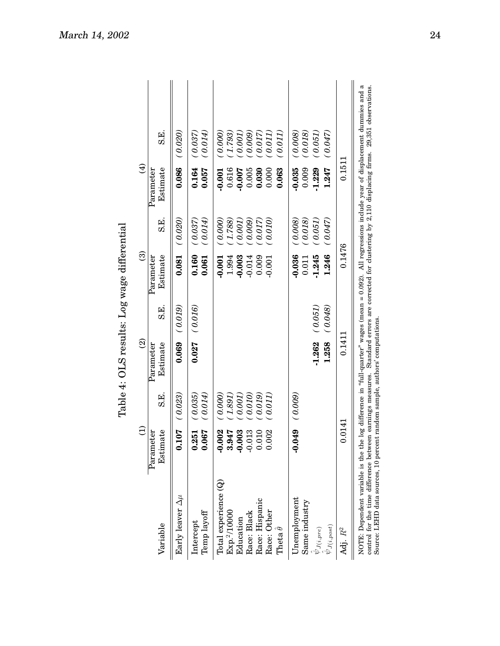|                                                                                                                                                                                                                                                                                                                                                                                                     | $\ominus$             |                    | $\widehat{\mathfrak{D}}$ |         | $\widehat{\odot}$     |                    | $\bigoplus$           |                    |  |
|-----------------------------------------------------------------------------------------------------------------------------------------------------------------------------------------------------------------------------------------------------------------------------------------------------------------------------------------------------------------------------------------------------|-----------------------|--------------------|--------------------------|---------|-----------------------|--------------------|-----------------------|--------------------|--|
| Variable                                                                                                                                                                                                                                                                                                                                                                                            | Estimate<br>Parameter | S.E.               | Parameter<br>Estimate    | S.E.    | Estimate<br>Parameter | ЯЕ.<br>З           | Estimate<br>Parameter | ні<br>З            |  |
| Early leaver $\Delta \mu$                                                                                                                                                                                                                                                                                                                                                                           | 0.107                 | (0.023)            | 0.069                    | (0.019) | 0.081                 | (0.020)            | 0.086                 | (0.020)            |  |
| Temp layoff<br>Intercept                                                                                                                                                                                                                                                                                                                                                                            | 0.067<br>0.251        | (0.035)<br>(0.014) | 0.027                    | (0.016) | 0.160<br>0.061        | (0.014)<br>(0.037) | 0.164<br>0.057        | (0.014)<br>(0.037) |  |
| Total experience $(Q)$                                                                                                                                                                                                                                                                                                                                                                              | 0.0002                | 0.000              |                          |         | $-0.001$              | (0.000)            | 0.001                 | 0.000              |  |
| Exp. <sup>2</sup> /10000<br>Education                                                                                                                                                                                                                                                                                                                                                               | 3.947<br>0.003        | 1.891<br>0.001     |                          |         | 1.994<br>$-0.003$     | 1.788)<br>0.001    | 0.616<br>0.007        | 1.793<br>0.001     |  |
| Race: Black                                                                                                                                                                                                                                                                                                                                                                                         | 0.013                 | 0.010              |                          |         | $-0.014$              | 0.009              | 0.005                 | 0.009              |  |
| Race: Hispanic                                                                                                                                                                                                                                                                                                                                                                                      | 0.010                 | 0.019              |                          |         | 0.009                 | 0.017              | 0.030                 | 0.017              |  |
| Race: Other                                                                                                                                                                                                                                                                                                                                                                                         | 0.002                 | 0.011              |                          |         | $-0.001$              | 0.010              | 0.000                 | 0.011              |  |
| Theta $\theta$                                                                                                                                                                                                                                                                                                                                                                                      |                       |                    |                          |         |                       |                    | 0.063                 | 0.011              |  |
| Unemployment                                                                                                                                                                                                                                                                                                                                                                                        | 0.049                 | (0.009)            |                          |         | $-0.036$              | (0.008)            | $-0.035$              | (0.008)            |  |
| Same industry                                                                                                                                                                                                                                                                                                                                                                                       |                       |                    |                          |         | 0.011                 | (0.018)            | 0.009                 | (0.018)            |  |
| $\psi_{J(i,pre)}$                                                                                                                                                                                                                                                                                                                                                                                   |                       |                    | $-1.262$                 | (0.051) | $-1.245$              | (0.051)            | $-1.229$              | (0.051)            |  |
| $\psi_{J(i,post)}$                                                                                                                                                                                                                                                                                                                                                                                  |                       |                    | 1.258                    | (0.048) | 1.246                 | (0.047)            | 1.247                 | (0.047)            |  |
| Adj. $R^2$                                                                                                                                                                                                                                                                                                                                                                                          | 0.0141                |                    | 0.1411                   |         | 0.1476                |                    | 0.1511                |                    |  |
| NOTE: Dependent variable is the the log difference in "full-quarter" wages (mean = 0.092). All regressions include year of displacement dummies and a<br>control for the time difference between earnings measures. Standard errors are corrected for clustering by $2,110$ displacing firms. $29,351$ observations.<br>Source: LEHD data sources, 10 percent random sample, authors' computations. |                       |                    |                          |         |                       |                    |                       |                    |  |

<span id="page-26-0"></span>Table 4: OLS results: Log wage differential Table 4: OLS results: Log wage differential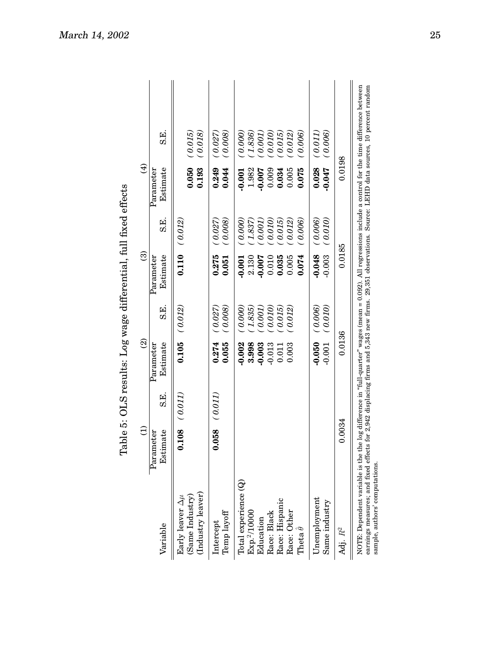|                                                                                                                                                                                                                                | $\widehat{\ominus}$   |         | $\widehat{\mathfrak{D}}$ |                    | $\widehat{\odot}$     |                    | $\bigoplus$           |                                                                                                                             |  |
|--------------------------------------------------------------------------------------------------------------------------------------------------------------------------------------------------------------------------------|-----------------------|---------|--------------------------|--------------------|-----------------------|--------------------|-----------------------|-----------------------------------------------------------------------------------------------------------------------------|--|
| Variable                                                                                                                                                                                                                       | Estimate<br>Parameter | E.S     | Estimate<br>Parameter    | S.E.               | Estimate<br>Parameter | S.E.               | Estimate<br>Parameter | S.E.                                                                                                                        |  |
| (Industry leaver)<br>Early leaver $\Delta \mu$<br>(Same Industry)                                                                                                                                                              | 108.                  | (0.011) | 0.105                    | (0.012)            | 0.110                 | (0.012)            | 0.050<br>0.193        | (0.018)<br>(0.015)                                                                                                          |  |
| Temp layoff<br>Intercept                                                                                                                                                                                                       | 1.058                 | (0.011) | 0.055<br>0.274           | (0.008)<br>(0.027) | 0.275<br>0.051        | 0.008<br>(0.027)   | 0.249<br>0.044        | (0.008)<br>(0.027)                                                                                                          |  |
| $Total$ experience $(Q)$<br>Exp. <sup>2</sup> /10000                                                                                                                                                                           |                       |         | 3.998<br>$-0.002$        | 1.835<br>0.000     | 2.130<br>$-0.001$     | (0.000)<br>(1.837) | 1.982<br>$-0.001$     | 1.836)<br>0.000                                                                                                             |  |
| Race: Black<br>Education                                                                                                                                                                                                       |                       |         | $-0.003$<br>$-0.013$     | 0.010)<br>0.001    | 0.010<br>$-0.007$     | 0.010<br>(1000)    | $-0.007$<br>0.009     | 0.010<br>(1000)                                                                                                             |  |
| Race: Hispanic<br>Race: Other                                                                                                                                                                                                  |                       |         | 0.003<br>0.011           | 0.015<br>0.012     | 0.035<br>0.005        | 0.015<br>0.012     | 0.034<br>0.005        | (0.012)<br>0.015                                                                                                            |  |
| Theta $\theta$                                                                                                                                                                                                                 |                       |         |                          |                    | 0.074                 | 0.006              | 0.075                 | 0.006                                                                                                                       |  |
| Unemployment<br>Same industry                                                                                                                                                                                                  |                       |         | $-0.050$<br>$-0.001$     | (0.010)<br>(0.006) | $-0.048$<br>$-0.003$  | 0.010<br>(0.006)   | 0.028<br>$-0.047$     | 0.006<br>0.011                                                                                                              |  |
| Adj. $\mathbb{R}^2$                                                                                                                                                                                                            | 0.0034                |         | 0.0136                   |                    | 0.0185                |                    | 0.0198                |                                                                                                                             |  |
| earnings measures; and fixed effects for 2,942 displacing firms and 5,343 new firms. 29,351 observations. Source: LEHD data sources, 10 percent random<br>NOTE: Dependent variable is the tl<br>sample, authors' computations. |                       |         |                          |                    |                       |                    |                       | ne log difference in "full-quarter" wages (mean = 0.092). All regressions include a control for the time difference between |  |

<span id="page-27-0"></span>Table 5: OLS results: Log wage differential, full fixed effects

March 14, 2002 25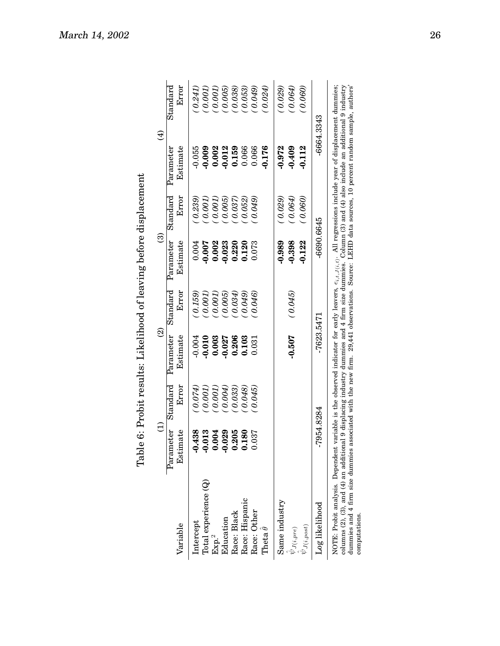|                                                                                                                                                                                                                                                                                                                                                                                                                                                                                                   | Table        |                  | 6: Probit results: Likelihood of leaving before displacement |                                |            |          |              |                  |
|---------------------------------------------------------------------------------------------------------------------------------------------------------------------------------------------------------------------------------------------------------------------------------------------------------------------------------------------------------------------------------------------------------------------------------------------------------------------------------------------------|--------------|------------------|--------------------------------------------------------------|--------------------------------|------------|----------|--------------|------------------|
|                                                                                                                                                                                                                                                                                                                                                                                                                                                                                                   | $\ominus$    |                  | $\widehat{\mathfrak{D}}$                                     |                                | ම          |          | $\bigoplus$  |                  |
|                                                                                                                                                                                                                                                                                                                                                                                                                                                                                                   | Parameter    | ${\rm Standard}$ | Parameter                                                    | $\operatorname{Standard}$      | Parameter  | Standard | Parameter    | ${\rm Standard}$ |
| Variable                                                                                                                                                                                                                                                                                                                                                                                                                                                                                          | Estimate     | Error            | Estimate                                                     | ${\rm E}{\rm r}{\rm o}{\rm r}$ | Estimate   | Error    | Estimate     | Error            |
| Intercept                                                                                                                                                                                                                                                                                                                                                                                                                                                                                         | $-0.438$     | 0.074            | $-0.004$                                                     | (6970,                         | 0.004      | 0.239    | $-0.055$     | 0.241            |
| Total experience (Q)                                                                                                                                                                                                                                                                                                                                                                                                                                                                              | $-0.013$     | 0.001            | $-0.010$                                                     | 0.001                          | 0.007      | 0.001    | $-0.009$     | 0.001            |
| Exp <sup>2</sup>                                                                                                                                                                                                                                                                                                                                                                                                                                                                                  | 0.004        | 0.001            | 0.003                                                        | 0.001                          | 0.002      | 0.001    | 0.002        | (1000)           |
| Education                                                                                                                                                                                                                                                                                                                                                                                                                                                                                         | $-0.029$     | 6004             | $-0.027$                                                     | 0.005                          | 0.023      | 0.005    | $-0.012$     | 0.005            |
| Race: Black                                                                                                                                                                                                                                                                                                                                                                                                                                                                                       | 0.205        | 0.033            | 0.206                                                        | 0.034                          | 0.220      | 0.037    | 0.159        | 0.038)           |
| Race: Hispanic                                                                                                                                                                                                                                                                                                                                                                                                                                                                                    | 0.180        | 0.048            | 0.103                                                        | 0.049)                         | 0.120      | 0.052    | 0.066        | (0.053)          |
| Race: Other                                                                                                                                                                                                                                                                                                                                                                                                                                                                                       | 0.037        | 0.045            | 0.031                                                        | 0.046                          | 0.073      | 0.049    | 0.066        | 0.049            |
| Theta $\theta$                                                                                                                                                                                                                                                                                                                                                                                                                                                                                    |              |                  |                                                              |                                |            |          | 0.176        | 0.024            |
| Same industry                                                                                                                                                                                                                                                                                                                                                                                                                                                                                     |              |                  |                                                              |                                | $-0.989$   | (0.029)  | $-0.972$     | (0.029)          |
| $\stackrel{\textstyle\psi}{\mathcal{I}(i, pre)}$                                                                                                                                                                                                                                                                                                                                                                                                                                                  |              |                  | $-0.507$                                                     | (0.045)                        | $-0.398$   | (0.064)  | $-0.409$     | (6000)           |
| $\psi_{J(i,post)}$                                                                                                                                                                                                                                                                                                                                                                                                                                                                                |              |                  |                                                              |                                | 0.122      | (0.060)  | $-0.112$     | 0.060            |
| Log likelihood                                                                                                                                                                                                                                                                                                                                                                                                                                                                                    | $-7954.8284$ |                  | $-7623.5471$                                                 |                                | -6690.6645 |          | $-6664.3343$ |                  |
| dummies and 4 firm size dummies associated with the new firm. 29,441 observations. Source: LEHD data sources, 10 percent random sample, authors'<br>NOTE: Probit analysis. Dependent variable is the observed indicator for early leavers, $e_{i,t_1,t(i_1)}$ . All regressions include year of displacement dummies;<br>columns (2), (3), and (4) an additional 9 displacing industry dummies and 4 firm size dummies. Column (3) and (4) also include an additional 9 industry<br>computations. |              |                  |                                                              |                                |            |          |              |                  |

<span id="page-28-0"></span>Table 6: Probit results: Likelihood of leaving before displacement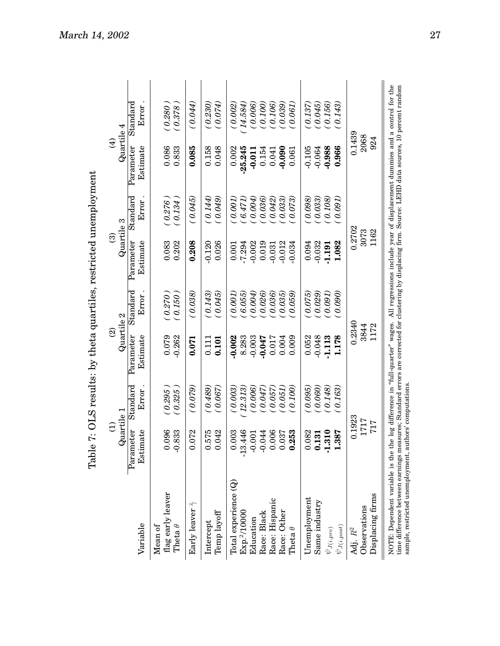|                                                | Э                                                   |                    | $\widehat{\mathfrak{D}}$ |                           | $\widehat{\mathcal{E}}$ |                           | $\bigoplus$                 |                                     |
|------------------------------------------------|-----------------------------------------------------|--------------------|--------------------------|---------------------------|-------------------------|---------------------------|-----------------------------|-------------------------------------|
|                                                | uartile 1<br>℺                                      |                    | Quartile 2               |                           | Quartile 3              |                           | $\operatorname{Quartile} 4$ |                                     |
| Variable                                       | Estimate<br>Parameter                               | Standard<br>Error  | Parameter<br>Estimate    | ${\rm Standard}$<br>Error | Parameter<br>Estimate   | ${\rm Standard}$<br>Error | Parameter<br>Estimate       | $\operatorname*{standard}$<br>Error |
| tlag early leaver<br>Theta $\theta$<br>Mean of | 0.096<br>$-0.833$                                   | 0.295<br>0.325     | 0.079<br>$-0.262$        | (0.270)<br>(0.150)        | 0.083<br>0.202          | 0.276<br>0.134            | 0.086<br>0.833              | (0.280)<br>0.378                    |
| Early leaver $\tilde{\gamma}$                  | 0.072                                               | (0.079)            | 0.071                    | (0.038)                   | 0.208                   | (0.045)                   | 0.085                       | (0.044)                             |
| Temp layoff<br>Intercept                       | 0.575<br>0.042                                      | 0.489<br>0.067     | 0.101<br>0.111           | (0.143)<br>0.045          | $-0.120$<br>0.026       | 0.049)<br>(0.144)         | 0.048<br>0.158              | (0.230)<br>0.074                    |
| Total experience $(Q)$                         | 0.003                                               | (0.003)            | $-0.002$                 | (7000)                    | 0.001                   | (1000)                    | 0.002                       | (0.002)                             |
| Exp. <sup>2</sup> /10000<br>Education          | $-13.446$                                           | 12.313)<br>(0.006) | 8.283<br>$-0.003$        | 6.055<br>0.004            | $-7.294$<br>$-0.002$    | 0.004)<br>6.471           | $-25.245$<br>$-0.011$       | 14.584                              |
| Race: Black                                    | $0.001$<br>$0.044$<br>$0.006$<br>$0.037$<br>$0.253$ | 0.047              | $-0.047$                 | 0.026                     | 0.019                   | 0.036)                    | 0.154                       | (0.006)                             |
| Race: Hispanic                                 | 006                                                 | (0.057)            | 0.017                    | 0.036                     | $-0.031$                | 0.042                     | 0.041                       | (901.0)                             |
| Race: Other                                    | 037                                                 | 0.051              | 0.004                    | (0.035)                   | $-0.012$                | 0.033)                    | $-0.090$                    | (650'0)                             |
| Theta $\theta$                                 | 253                                                 | 0.100)             | 0.009                    | 0.059                     | $-0.034$                | 0.073)                    | 0.061                       | (1900)                              |
| Unemployment                                   | 0.082                                               | (9.095)            | 0.052                    | (9.075)                   | 0.094                   | (8600)                    | $-0.105$                    | (0.137)                             |
| Same industry                                  | $\frac{0.131}{1.310}$<br>1.337                      | 0.060              | $-0.048$                 | 0.029                     | $-0.032$                | 0.033)                    | $-0.064$                    | $(0.045)$<br>$(0.156)$              |
| $\psi_{J(i,pre)}$                              |                                                     | 0.148              | -1.113                   | (7600)                    | $-1.191$                | (6010)                    | $-0.988$                    |                                     |
| $\psi_{J(i,post)}$                             |                                                     | 0.163)             | 1.178                    | (0.090)                   | 1.082                   | (1600)                    | 0.966                       | 0.143)                              |
| Adj. $R^2$                                     | 0.1923                                              |                    | 0.2340                   |                           | 0.2702                  |                           | 0.1439                      |                                     |
| Observations                                   | 1717                                                |                    | 3844                     |                           | 3073                    |                           | 2068                        |                                     |
| Displacing firms                               | 717                                                 |                    | 1172                     |                           | 1162                    |                           | 924                         |                                     |

<span id="page-29-0"></span>Table 7: OLS results: by theta quartiles, restricted unemployment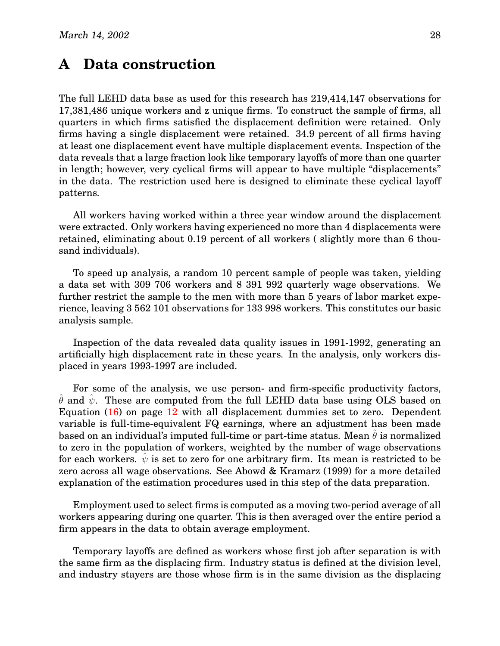### <span id="page-30-0"></span>**A Data construction**

The full LEHD data base as used for this research has 219,414,147 observations for 17,381,486 unique workers and z unique firms. To construct the sample of firms, all quarters in which firms satisfied the displacement definition were retained. Only firms having a single displacement were retained. 34.9 percent of all firms having at least one displacement event have multiple displacement events. Inspection of the data reveals that a large fraction look like temporary layoffs of more than one quarter in length; however, very cyclical firms will appear to have multiple "displacements" in the data. The restriction used here is designed to eliminate these cyclical layoff patterns.

All workers having worked within a three year window around the displacement were extracted. Only workers having experienced no more than 4 displacements were retained, eliminating about 0.19 percent of all workers ( slightly more than 6 thousand individuals).

To speed up analysis, a random 10 percent sample of people was taken, yielding a data set with 309 706 workers and 8 391 992 quarterly wage observations. We further restrict the sample to the men with more than 5 years of labor market experience, leaving 3 562 101 observations for 133 998 workers. This constitutes our basic analysis sample.

Inspection of the data revealed data quality issues in 1991-1992, generating an artificially high displacement rate in these years. In the analysis, only workers displaced in years 1993-1997 are included.

For some of the analysis, we use person- and firm-specific productivity factors,  $\hat{\theta}$  and  $\hat{\psi}$ . These are computed from the full LEHD data base using OLS based on Equation [\(16](#page-14-1)) on page [12](#page-14-1) with all displacement dummies set to zero. Dependent variable is full-time-equivalent FQ earnings, where an adjustment has been made based on an individual's imputed full-time or part-time status. Mean  $\hat{\theta}$  is normalized to zero in the population of workers, weighted by the number of wage observations for each workers.  $\psi$  is set to zero for one arbitrary firm. Its mean is restricted to be zero across all wage observations. See Abowd & Kramarz (1999) for a more detailed explanation of the estimation procedures used in this step of the data preparation.

Employment used to select firms is computed as a moving two-period average of all workers appearing during one quarter. This is then averaged over the entire period a firm appears in the data to obtain average employment.

Temporary layoffs are defined as workers whose first job after separation is with the same firm as the displacing firm. Industry status is defined at the division level, and industry stayers are those whose firm is in the same division as the displacing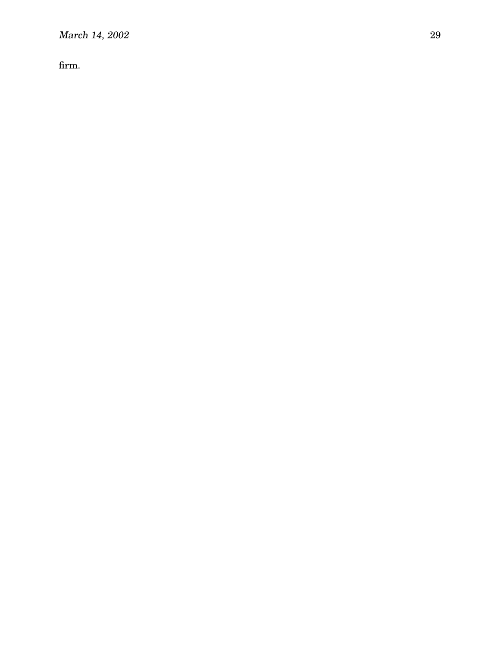firm.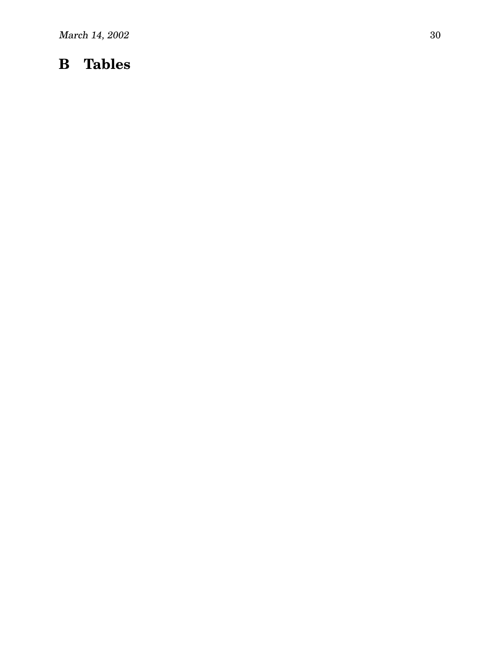# <span id="page-32-0"></span>**B Tables**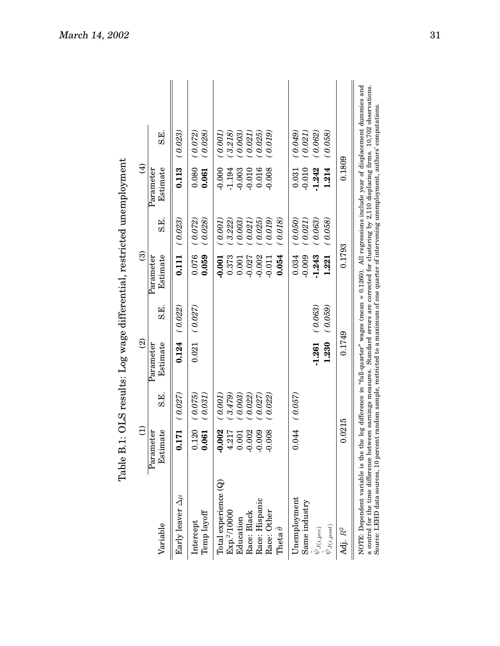|                                                                                                                                                                                                                                                                                                                                                                                                                                                                      | $\widehat{\Xi}$       |                          | $\widehat{\mathfrak{D}}$ |         | $\widehat{\odot}$     |                    | $\widehat{\mathcal{F}}$ |                    |
|----------------------------------------------------------------------------------------------------------------------------------------------------------------------------------------------------------------------------------------------------------------------------------------------------------------------------------------------------------------------------------------------------------------------------------------------------------------------|-----------------------|--------------------------|--------------------------|---------|-----------------------|--------------------|-------------------------|--------------------|
| Variable                                                                                                                                                                                                                                                                                                                                                                                                                                                             | Estimate<br>Parameter | E.S                      | Estimate<br>Parameter    | S.E.    | Estimate<br>Parameter | S.E.               | Estimate<br>Parameter   | S.E.               |
| Early leaver $\Delta \mu$                                                                                                                                                                                                                                                                                                                                                                                                                                            | 171<br>5              | (0.027)                  | 0.124                    | (0.022) | 0.111                 | (0.023)            | 0.113                   | (0.023)            |
| Temp layoff<br>Intercept                                                                                                                                                                                                                                                                                                                                                                                                                                             | 0.120<br><b>O61</b>   | (0.075)<br>$(\it 0.031)$ | 0.021                    | (0.027) | 0.076<br>0.059        | (0.028)<br>(0.072) | 0.080<br>0.061          | (0.028)<br>(0.072) |
| Total experience $(Q)$                                                                                                                                                                                                                                                                                                                                                                                                                                               | $-0.002$              | 0.001                    |                          |         | $-0.001$              | (0.001)            | $-0.000$                | 0.001              |
| Exp. <sup>2</sup> /10000<br>Education                                                                                                                                                                                                                                                                                                                                                                                                                                | 4.217<br>0.001        | 3.479)<br>0.003          |                          |         | 0.373<br>0.001        | 3.222<br>0.003     | $-1.194$<br>$-0.003$    | 3.218<br>0.003     |
| Race: Black                                                                                                                                                                                                                                                                                                                                                                                                                                                          | $-0.002$              | 0.022                    |                          |         | $-0.027$              | 0.021              | $-0.010$                | 0.021              |
| Race: Hispanic                                                                                                                                                                                                                                                                                                                                                                                                                                                       | $-0.009$              | 0.027                    |                          |         | $-0.002$              | 0.025              | 0.016                   | 0.025              |
| Race: Other                                                                                                                                                                                                                                                                                                                                                                                                                                                          | $-0.008$              | (0.022)                  |                          |         | $-0.011$              | 0.019              | $-0.008$                | (6100)             |
| Theta $\ddot{\theta}$                                                                                                                                                                                                                                                                                                                                                                                                                                                |                       |                          |                          |         | 0.054                 | 0.018              |                         |                    |
| Unemployment                                                                                                                                                                                                                                                                                                                                                                                                                                                         | 0.044                 | (0.057)                  |                          |         | 0.034                 | (0.050)            | 0.031                   | (0.049)            |
| Same industry                                                                                                                                                                                                                                                                                                                                                                                                                                                        |                       |                          |                          |         | $-0.009$              | (0.021)            | $-0.010$                | (0.021)            |
| $\psi_{J(i,pre)}$                                                                                                                                                                                                                                                                                                                                                                                                                                                    |                       |                          | $-1.261$                 | (0.063) | $-1.243$              | (0.063)            | $-1.242$                | 0.062              |
| $\psi_{J(i,post)}$                                                                                                                                                                                                                                                                                                                                                                                                                                                   |                       |                          | 1.230                    | (0.059) | 1.221                 | (0.058)            | 1.214                   | (0.058)            |
| Adj. $R^2$                                                                                                                                                                                                                                                                                                                                                                                                                                                           | 0.0215                |                          | 0.1749                   |         | 0.1793                |                    | 0.1809                  |                    |
| NOTE: Dependent variable is the the log difference in "full-quarter" wages (mean = 0.1260). All regressions include year of displacement dummies and<br>a control for the time difference between earnings measures. Standard errors are corrected for clustering by 2,110 displacing firms. 10,702 observations.<br>Source: LEHD data sources, 10 percent random sample, restricted to a maximum of one quarter of intervening unemployment, authors' computations. |                       |                          |                          |         |                       |                    |                         |                    |

<span id="page-33-0"></span>Table B.1: OLS results: Log wage differential, restricted unemployment